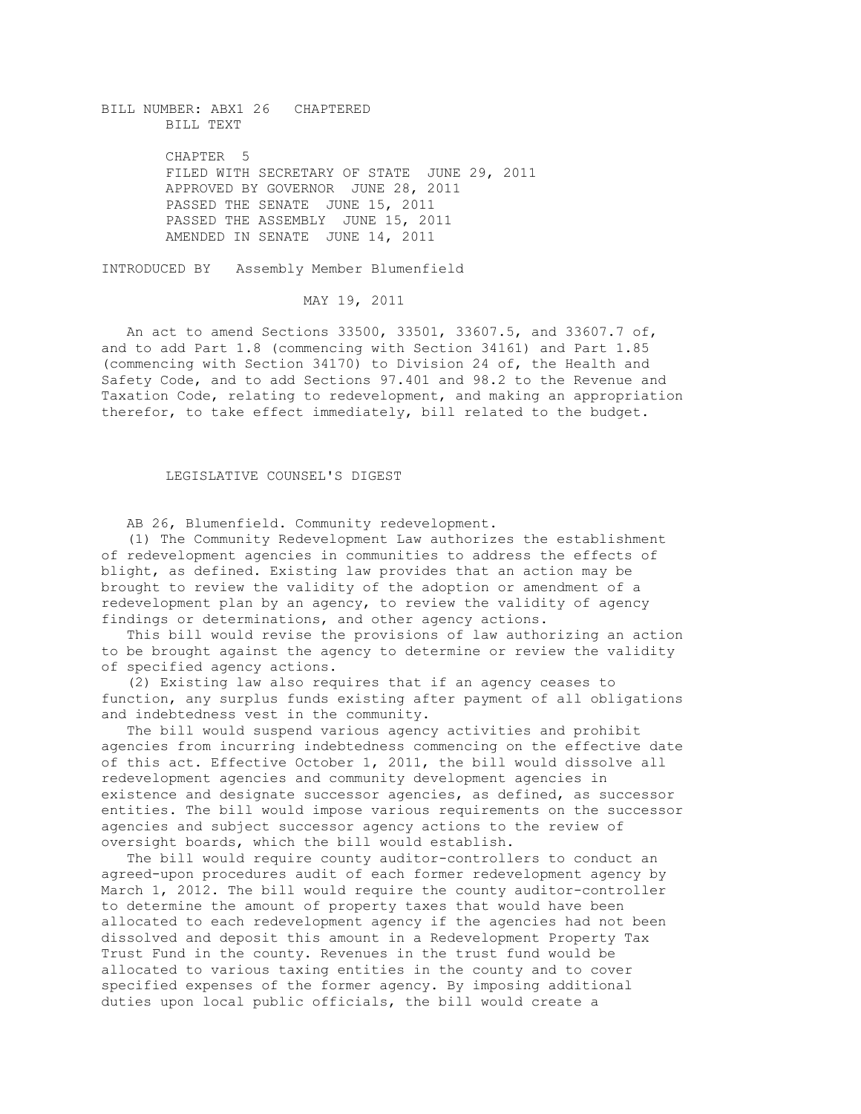BILL NUMBER: ABX1 26 CHAPTERED BILL TEXT CHAPTER 5 FILED WITH SECRETARY OF STATE JUNE 29, 2011 APPROVED BY GOVERNOR JUNE 28, 2011 PASSED THE SENATE JUNE 15, 2011 PASSED THE ASSEMBLY JUNE 15, 2011 AMENDED IN SENATE JUNE 14, 2011

INTRODUCED BY Assembly Member Blumenfield

MAY 19, 2011

 An act to amend Sections 33500, 33501, 33607.5, and 33607.7 of, and to add Part 1.8 (commencing with Section 34161) and Part 1.85 (commencing with Section 34170) to Division 24 of, the Health and Safety Code, and to add Sections 97.401 and 98.2 to the Revenue and Taxation Code, relating to redevelopment, and making an appropriation therefor, to take effect immediately, bill related to the budget.

## LEGISLATIVE COUNSEL'S DIGEST

AB 26, Blumenfield. Community redevelopment.

 (1) The Community Redevelopment Law authorizes the establishment of redevelopment agencies in communities to address the effects of blight, as defined. Existing law provides that an action may be brought to review the validity of the adoption or amendment of a redevelopment plan by an agency, to review the validity of agency findings or determinations, and other agency actions.

 This bill would revise the provisions of law authorizing an action to be brought against the agency to determine or review the validity of specified agency actions.

 (2) Existing law also requires that if an agency ceases to function, any surplus funds existing after payment of all obligations and indebtedness vest in the community.

 The bill would suspend various agency activities and prohibit agencies from incurring indebtedness commencing on the effective date of this act. Effective October 1, 2011, the bill would dissolve all redevelopment agencies and community development agencies in existence and designate successor agencies, as defined, as successor entities. The bill would impose various requirements on the successor agencies and subject successor agency actions to the review of oversight boards, which the bill would establish.

 The bill would require county auditor-controllers to conduct an agreed-upon procedures audit of each former redevelopment agency by March 1, 2012. The bill would require the county auditor-controller to determine the amount of property taxes that would have been allocated to each redevelopment agency if the agencies had not been dissolved and deposit this amount in a Redevelopment Property Tax Trust Fund in the county. Revenues in the trust fund would be allocated to various taxing entities in the county and to cover specified expenses of the former agency. By imposing additional duties upon local public officials, the bill would create a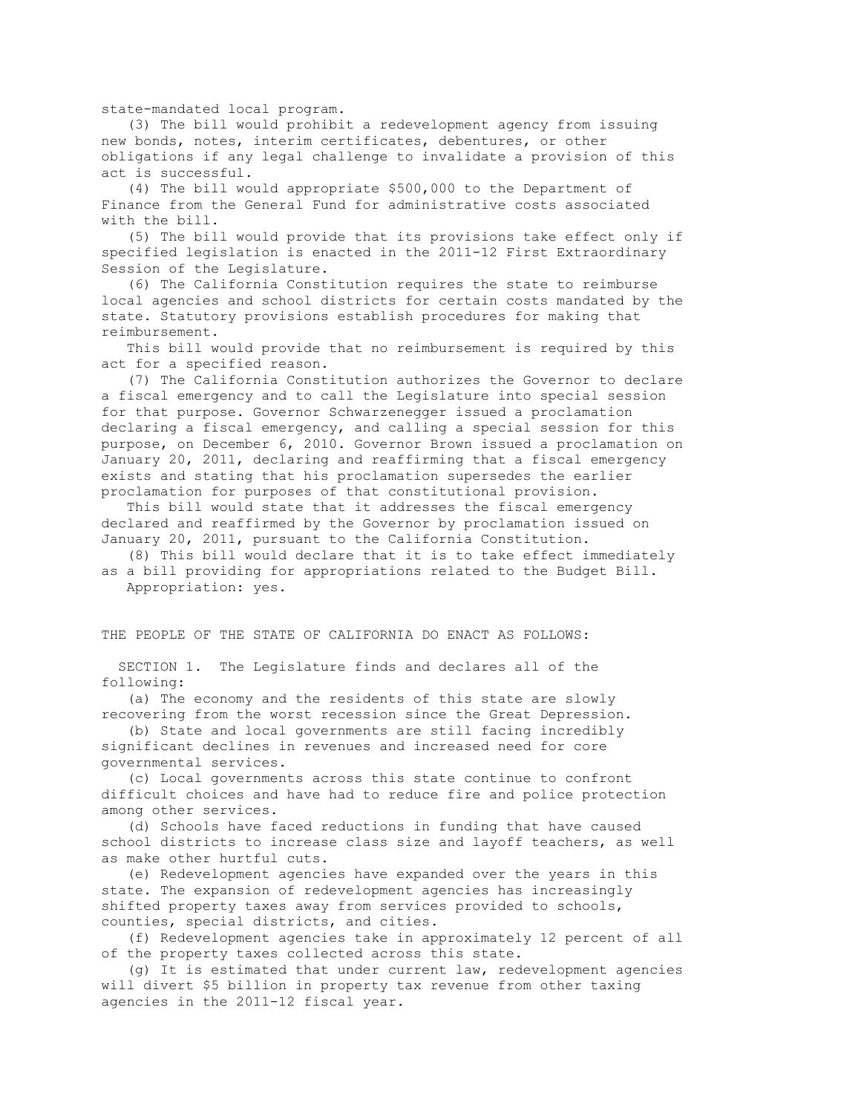state-mandated local program.

 (3) The bill would prohibit a redevelopment agency from issuing new bonds, notes, interim certificates, debentures, or other obligations if any legal challenge to invalidate a provision of this act is successful.

 (4) The bill would appropriate \$500,000 to the Department of Finance from the General Fund for administrative costs associated with the bill.

 (5) The bill would provide that its provisions take effect only if specified legislation is enacted in the 2011-12 First Extraordinary Session of the Legislature.

 (6) The California Constitution requires the state to reimburse local agencies and school districts for certain costs mandated by the state. Statutory provisions establish procedures for making that reimbursement.

 This bill would provide that no reimbursement is required by this act for a specified reason.

 (7) The California Constitution authorizes the Governor to declare a fiscal emergency and to call the Legislature into special session for that purpose. Governor Schwarzenegger issued a proclamation declaring a fiscal emergency, and calling a special session for this purpose, on December 6, 2010. Governor Brown issued a proclamation on January 20, 2011, declaring and reaffirming that a fiscal emergency exists and stating that his proclamation supersedes the earlier proclamation for purposes of that constitutional provision.

 This bill would state that it addresses the fiscal emergency declared and reaffirmed by the Governor by proclamation issued on January 20, 2011, pursuant to the California Constitution.

 (8) This bill would declare that it is to take effect immediately as a bill providing for appropriations related to the Budget Bill. Appropriation: yes.

THE PEOPLE OF THE STATE OF CALIFORNIA DO ENACT AS FOLLOWS:

 SECTION 1. The Legislature finds and declares all of the following:

 (a) The economy and the residents of this state are slowly recovering from the worst recession since the Great Depression.

 (b) State and local governments are still facing incredibly significant declines in revenues and increased need for core governmental services.

 (c) Local governments across this state continue to confront difficult choices and have had to reduce fire and police protection among other services.

 (d) Schools have faced reductions in funding that have caused school districts to increase class size and layoff teachers, as well as make other hurtful cuts.

 (e) Redevelopment agencies have expanded over the years in this state. The expansion of redevelopment agencies has increasingly shifted property taxes away from services provided to schools, counties, special districts, and cities.

 (f) Redevelopment agencies take in approximately 12 percent of all of the property taxes collected across this state.

 (g) It is estimated that under current law, redevelopment agencies will divert \$5 billion in property tax revenue from other taxing agencies in the 2011-12 fiscal year.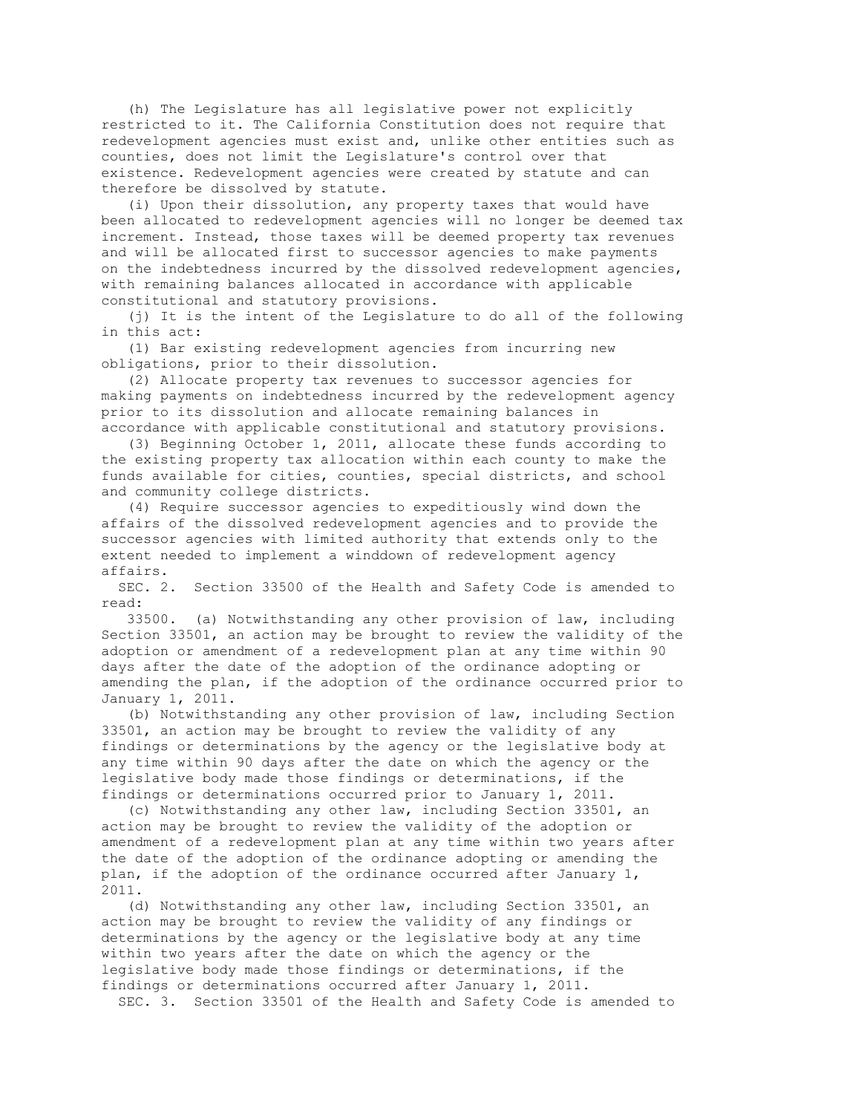(h) The Legislature has all legislative power not explicitly restricted to it. The California Constitution does not require that redevelopment agencies must exist and, unlike other entities such as counties, does not limit the Legislature's control over that existence. Redevelopment agencies were created by statute and can therefore be dissolved by statute.

 (i) Upon their dissolution, any property taxes that would have been allocated to redevelopment agencies will no longer be deemed tax increment. Instead, those taxes will be deemed property tax revenues and will be allocated first to successor agencies to make payments on the indebtedness incurred by the dissolved redevelopment agencies, with remaining balances allocated in accordance with applicable constitutional and statutory provisions.

 (j) It is the intent of the Legislature to do all of the following in this act:

 (1) Bar existing redevelopment agencies from incurring new obligations, prior to their dissolution.

 (2) Allocate property tax revenues to successor agencies for making payments on indebtedness incurred by the redevelopment agency prior to its dissolution and allocate remaining balances in accordance with applicable constitutional and statutory provisions.

 (3) Beginning October 1, 2011, allocate these funds according to the existing property tax allocation within each county to make the funds available for cities, counties, special districts, and school and community college districts.

 (4) Require successor agencies to expeditiously wind down the affairs of the dissolved redevelopment agencies and to provide the successor agencies with limited authority that extends only to the extent needed to implement a winddown of redevelopment agency affairs.

 SEC. 2. Section 33500 of the Health and Safety Code is amended to read:

 33500. (a) Notwithstanding any other provision of law, including Section 33501, an action may be brought to review the validity of the adoption or amendment of a redevelopment plan at any time within 90 days after the date of the adoption of the ordinance adopting or amending the plan, if the adoption of the ordinance occurred prior to January 1, 2011.

 (b) Notwithstanding any other provision of law, including Section 33501, an action may be brought to review the validity of any findings or determinations by the agency or the legislative body at any time within 90 days after the date on which the agency or the legislative body made those findings or determinations, if the findings or determinations occurred prior to January 1, 2011.

 (c) Notwithstanding any other law, including Section 33501, an action may be brought to review the validity of the adoption or amendment of a redevelopment plan at any time within two years after the date of the adoption of the ordinance adopting or amending the plan, if the adoption of the ordinance occurred after January 1, 2011.

 (d) Notwithstanding any other law, including Section 33501, an action may be brought to review the validity of any findings or determinations by the agency or the legislative body at any time within two years after the date on which the agency or the legislative body made those findings or determinations, if the findings or determinations occurred after January 1, 2011. SEC. 3. Section 33501 of the Health and Safety Code is amended to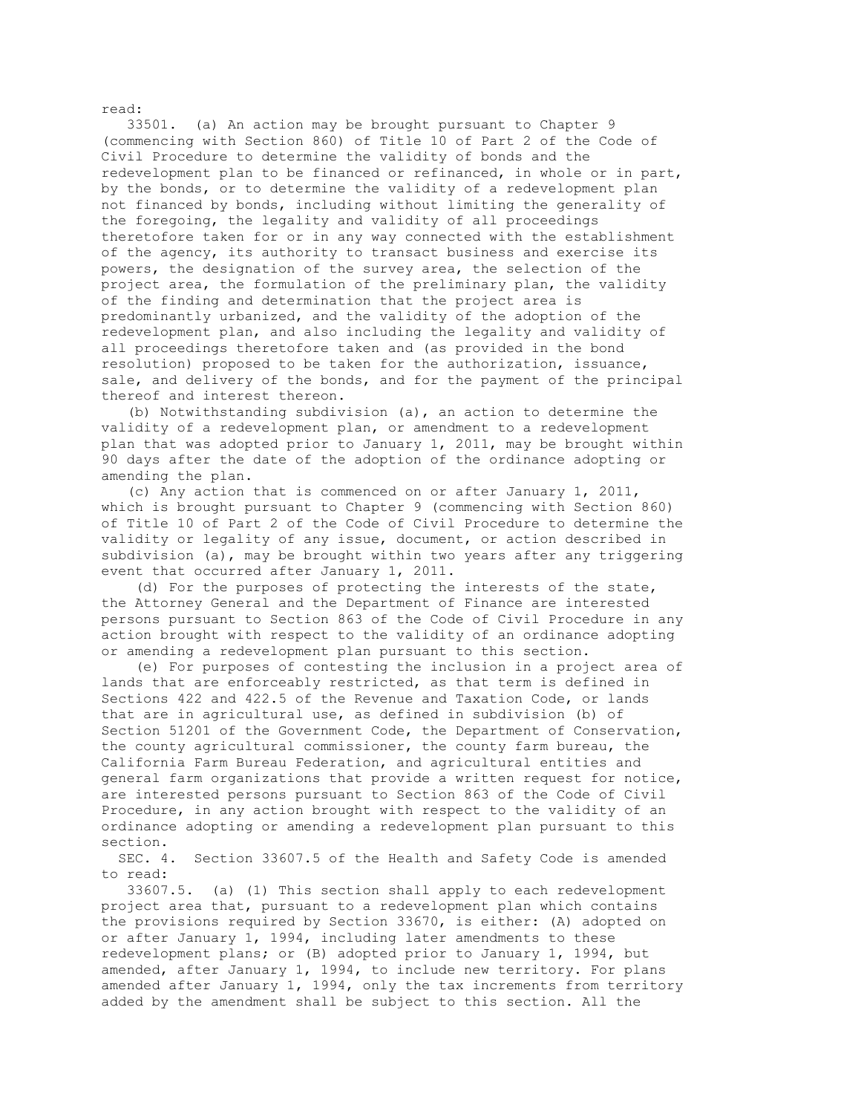33501. (a) An action may be brought pursuant to Chapter 9 (commencing with Section 860) of Title 10 of Part 2 of the Code of Civil Procedure to determine the validity of bonds and the redevelopment plan to be financed or refinanced, in whole or in part, by the bonds, or to determine the validity of a redevelopment plan not financed by bonds, including without limiting the generality of the foregoing, the legality and validity of all proceedings theretofore taken for or in any way connected with the establishment of the agency, its authority to transact business and exercise its powers, the designation of the survey area, the selection of the project area, the formulation of the preliminary plan, the validity of the finding and determination that the project area is predominantly urbanized, and the validity of the adoption of the redevelopment plan, and also including the legality and validity of all proceedings theretofore taken and (as provided in the bond resolution) proposed to be taken for the authorization, issuance, sale, and delivery of the bonds, and for the payment of the principal thereof and interest thereon.

 (b) Notwithstanding subdivision (a), an action to determine the validity of a redevelopment plan, or amendment to a redevelopment plan that was adopted prior to January 1, 2011, may be brought within 90 days after the date of the adoption of the ordinance adopting or amending the plan.

 (c) Any action that is commenced on or after January 1, 2011, which is brought pursuant to Chapter 9 (commencing with Section 860) of Title 10 of Part 2 of the Code of Civil Procedure to determine the validity or legality of any issue, document, or action described in subdivision (a), may be brought within two years after any triggering event that occurred after January 1, 2011.

 (d) For the purposes of protecting the interests of the state, the Attorney General and the Department of Finance are interested persons pursuant to Section 863 of the Code of Civil Procedure in any action brought with respect to the validity of an ordinance adopting or amending a redevelopment plan pursuant to this section.

 (e) For purposes of contesting the inclusion in a project area of lands that are enforceably restricted, as that term is defined in Sections 422 and 422.5 of the Revenue and Taxation Code, or lands that are in agricultural use, as defined in subdivision (b) of Section 51201 of the Government Code, the Department of Conservation, the county agricultural commissioner, the county farm bureau, the California Farm Bureau Federation, and agricultural entities and general farm organizations that provide a written request for notice, are interested persons pursuant to Section 863 of the Code of Civil Procedure, in any action brought with respect to the validity of an ordinance adopting or amending a redevelopment plan pursuant to this section.

 SEC. 4. Section 33607.5 of the Health and Safety Code is amended to read:

 33607.5. (a) (1) This section shall apply to each redevelopment project area that, pursuant to a redevelopment plan which contains the provisions required by Section 33670, is either: (A) adopted on or after January 1, 1994, including later amendments to these redevelopment plans; or (B) adopted prior to January 1, 1994, but amended, after January 1, 1994, to include new territory. For plans amended after January 1, 1994, only the tax increments from territory added by the amendment shall be subject to this section. All the

read: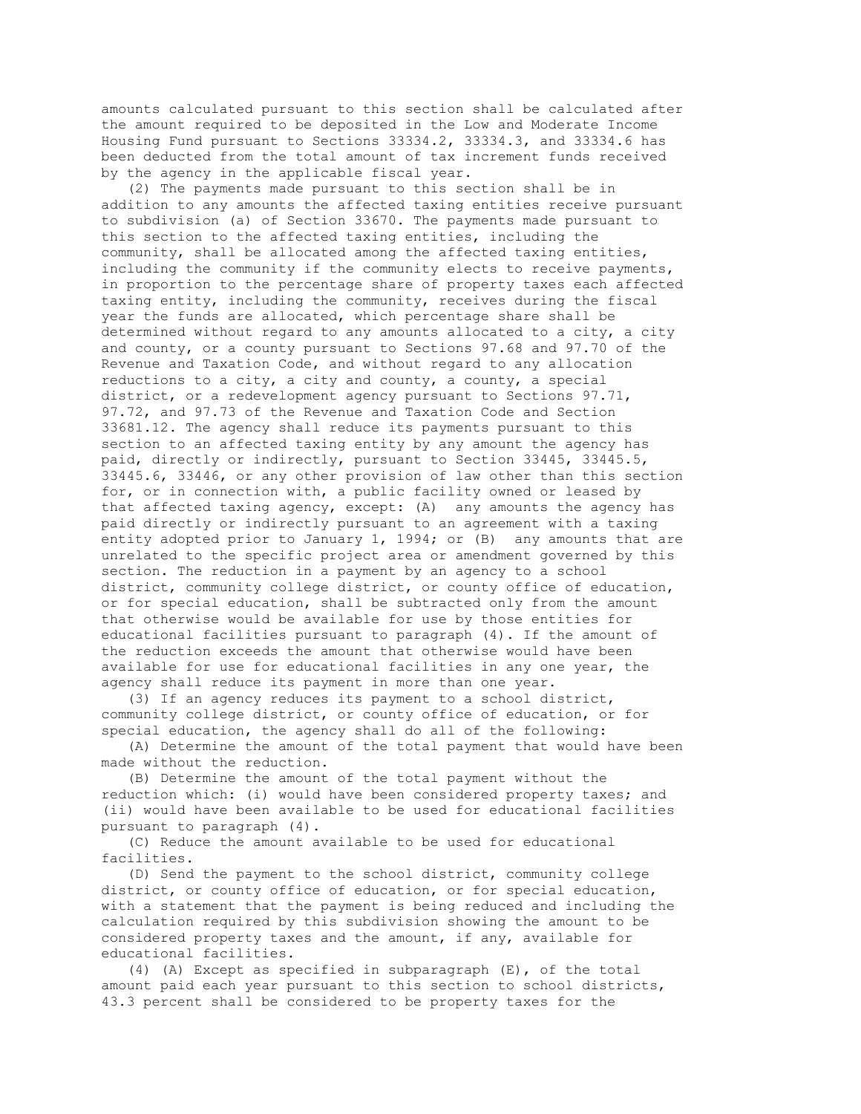amounts calculated pursuant to this section shall be calculated after the amount required to be deposited in the Low and Moderate Income Housing Fund pursuant to Sections 33334.2, 33334.3, and 33334.6 has been deducted from the total amount of tax increment funds received by the agency in the applicable fiscal year.

 (2) The payments made pursuant to this section shall be in addition to any amounts the affected taxing entities receive pursuant to subdivision (a) of Section 33670. The payments made pursuant to this section to the affected taxing entities, including the community, shall be allocated among the affected taxing entities, including the community if the community elects to receive payments, in proportion to the percentage share of property taxes each affected taxing entity, including the community, receives during the fiscal year the funds are allocated, which percentage share shall be determined without regard to any amounts allocated to a city, a city and county, or a county pursuant to Sections 97.68 and 97.70 of the Revenue and Taxation Code, and without regard to any allocation reductions to a city, a city and county, a county, a special district, or a redevelopment agency pursuant to Sections 97.71, 97.72, and 97.73 of the Revenue and Taxation Code and Section 33681.12. The agency shall reduce its payments pursuant to this section to an affected taxing entity by any amount the agency has paid, directly or indirectly, pursuant to Section 33445, 33445.5, 33445.6, 33446, or any other provision of law other than this section for, or in connection with, a public facility owned or leased by that affected taxing agency, except: (A) any amounts the agency has paid directly or indirectly pursuant to an agreement with a taxing entity adopted prior to January 1, 1994; or (B) any amounts that are unrelated to the specific project area or amendment governed by this section. The reduction in a payment by an agency to a school district, community college district, or county office of education, or for special education, shall be subtracted only from the amount that otherwise would be available for use by those entities for educational facilities pursuant to paragraph (4). If the amount of the reduction exceeds the amount that otherwise would have been available for use for educational facilities in any one year, the agency shall reduce its payment in more than one year.

 (3) If an agency reduces its payment to a school district, community college district, or county office of education, or for special education, the agency shall do all of the following:

 (A) Determine the amount of the total payment that would have been made without the reduction.

 (B) Determine the amount of the total payment without the reduction which: (i) would have been considered property taxes; and (ii) would have been available to be used for educational facilities pursuant to paragraph (4).

 (C) Reduce the amount available to be used for educational facilities.

 (D) Send the payment to the school district, community college district, or county office of education, or for special education, with a statement that the payment is being reduced and including the calculation required by this subdivision showing the amount to be considered property taxes and the amount, if any, available for educational facilities.

 (4) (A) Except as specified in subparagraph (E), of the total amount paid each year pursuant to this section to school districts, 43.3 percent shall be considered to be property taxes for the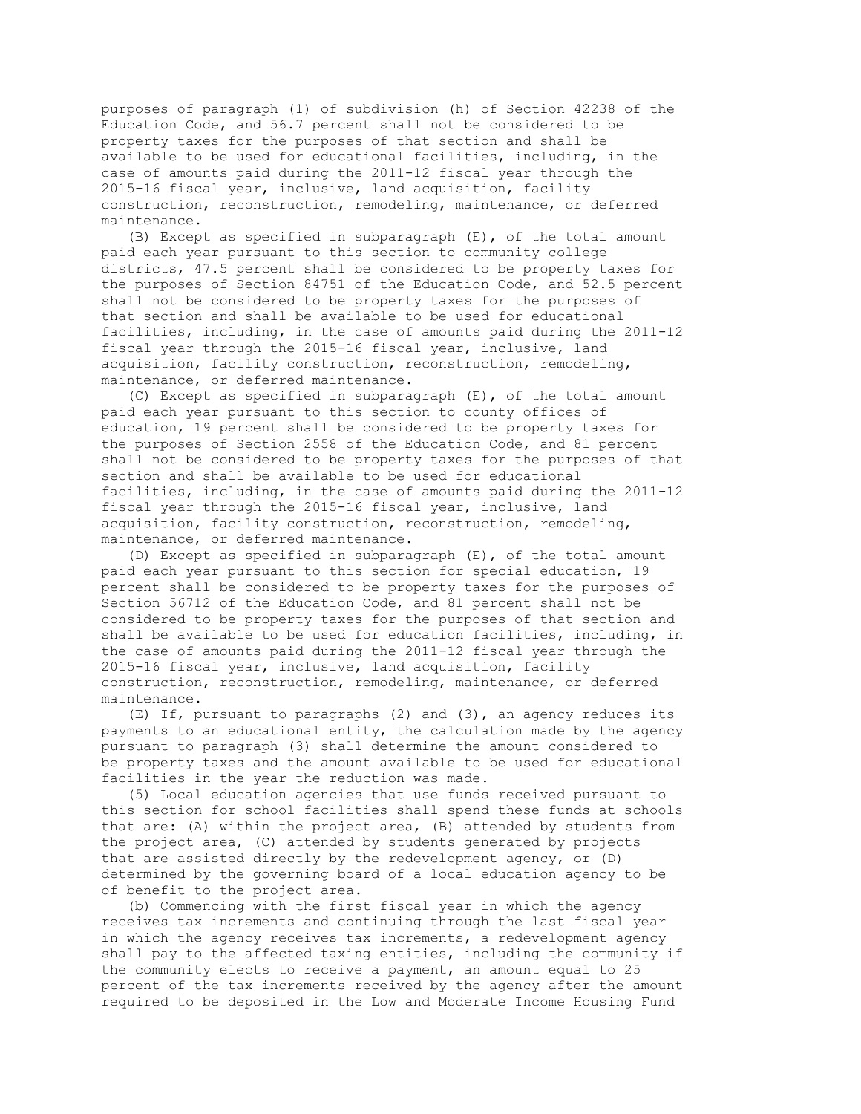purposes of paragraph (1) of subdivision (h) of Section 42238 of the Education Code, and 56.7 percent shall not be considered to be property taxes for the purposes of that section and shall be available to be used for educational facilities, including, in the case of amounts paid during the 2011-12 fiscal year through the 2015-16 fiscal year, inclusive, land acquisition, facility construction, reconstruction, remodeling, maintenance, or deferred maintenance.

 (B) Except as specified in subparagraph (E), of the total amount paid each year pursuant to this section to community college districts, 47.5 percent shall be considered to be property taxes for the purposes of Section 84751 of the Education Code, and 52.5 percent shall not be considered to be property taxes for the purposes of that section and shall be available to be used for educational facilities, including, in the case of amounts paid during the 2011-12 fiscal year through the 2015-16 fiscal year, inclusive, land acquisition, facility construction, reconstruction, remodeling, maintenance, or deferred maintenance.

 (C) Except as specified in subparagraph (E), of the total amount paid each year pursuant to this section to county offices of education, 19 percent shall be considered to be property taxes for the purposes of Section 2558 of the Education Code, and 81 percent shall not be considered to be property taxes for the purposes of that section and shall be available to be used for educational facilities, including, in the case of amounts paid during the 2011-12 fiscal year through the 2015-16 fiscal year, inclusive, land acquisition, facility construction, reconstruction, remodeling, maintenance, or deferred maintenance.

 (D) Except as specified in subparagraph (E), of the total amount paid each year pursuant to this section for special education, 19 percent shall be considered to be property taxes for the purposes of Section 56712 of the Education Code, and 81 percent shall not be considered to be property taxes for the purposes of that section and shall be available to be used for education facilities, including, in the case of amounts paid during the 2011-12 fiscal year through the 2015-16 fiscal year, inclusive, land acquisition, facility construction, reconstruction, remodeling, maintenance, or deferred maintenance.

 (E) If, pursuant to paragraphs (2) and (3), an agency reduces its payments to an educational entity, the calculation made by the agency pursuant to paragraph (3) shall determine the amount considered to be property taxes and the amount available to be used for educational facilities in the year the reduction was made.

 (5) Local education agencies that use funds received pursuant to this section for school facilities shall spend these funds at schools that are: (A) within the project area, (B) attended by students from the project area, (C) attended by students generated by projects that are assisted directly by the redevelopment agency, or (D) determined by the governing board of a local education agency to be of benefit to the project area.

 (b) Commencing with the first fiscal year in which the agency receives tax increments and continuing through the last fiscal year in which the agency receives tax increments, a redevelopment agency shall pay to the affected taxing entities, including the community if the community elects to receive a payment, an amount equal to 25 percent of the tax increments received by the agency after the amount required to be deposited in the Low and Moderate Income Housing Fund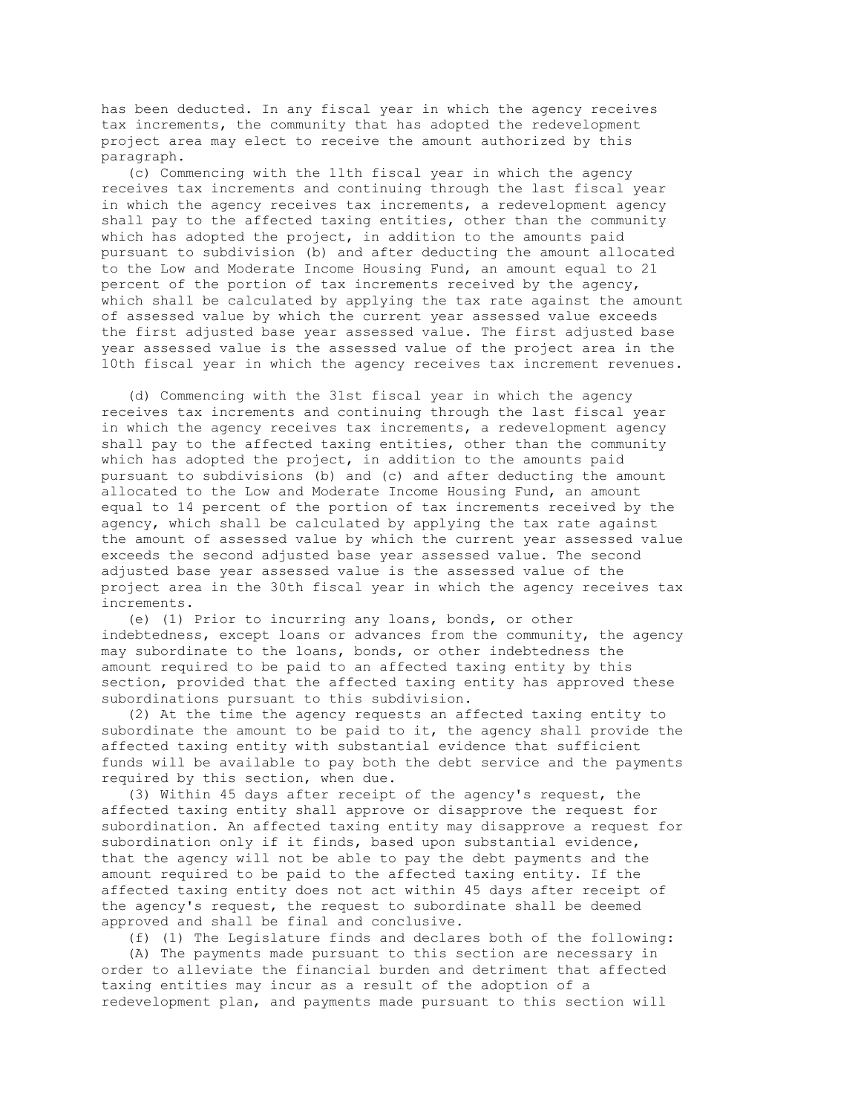has been deducted. In any fiscal year in which the agency receives tax increments, the community that has adopted the redevelopment project area may elect to receive the amount authorized by this paragraph.

 (c) Commencing with the 11th fiscal year in which the agency receives tax increments and continuing through the last fiscal year in which the agency receives tax increments, a redevelopment agency shall pay to the affected taxing entities, other than the community which has adopted the project, in addition to the amounts paid pursuant to subdivision (b) and after deducting the amount allocated to the Low and Moderate Income Housing Fund, an amount equal to 21 percent of the portion of tax increments received by the agency, which shall be calculated by applying the tax rate against the amount of assessed value by which the current year assessed value exceeds the first adjusted base year assessed value. The first adjusted base year assessed value is the assessed value of the project area in the 10th fiscal year in which the agency receives tax increment revenues.

 (d) Commencing with the 31st fiscal year in which the agency receives tax increments and continuing through the last fiscal year in which the agency receives tax increments, a redevelopment agency shall pay to the affected taxing entities, other than the community which has adopted the project, in addition to the amounts paid pursuant to subdivisions (b) and (c) and after deducting the amount allocated to the Low and Moderate Income Housing Fund, an amount equal to 14 percent of the portion of tax increments received by the agency, which shall be calculated by applying the tax rate against the amount of assessed value by which the current year assessed value exceeds the second adjusted base year assessed value. The second adjusted base year assessed value is the assessed value of the project area in the 30th fiscal year in which the agency receives tax increments.

 (e) (1) Prior to incurring any loans, bonds, or other indebtedness, except loans or advances from the community, the agency may subordinate to the loans, bonds, or other indebtedness the amount required to be paid to an affected taxing entity by this section, provided that the affected taxing entity has approved these subordinations pursuant to this subdivision.

 (2) At the time the agency requests an affected taxing entity to subordinate the amount to be paid to it, the agency shall provide the affected taxing entity with substantial evidence that sufficient funds will be available to pay both the debt service and the payments required by this section, when due.

 (3) Within 45 days after receipt of the agency's request, the affected taxing entity shall approve or disapprove the request for subordination. An affected taxing entity may disapprove a request for subordination only if it finds, based upon substantial evidence, that the agency will not be able to pay the debt payments and the amount required to be paid to the affected taxing entity. If the affected taxing entity does not act within 45 days after receipt of the agency's request, the request to subordinate shall be deemed approved and shall be final and conclusive.

 (f) (1) The Legislature finds and declares both of the following: (A) The payments made pursuant to this section are necessary in order to alleviate the financial burden and detriment that affected taxing entities may incur as a result of the adoption of a redevelopment plan, and payments made pursuant to this section will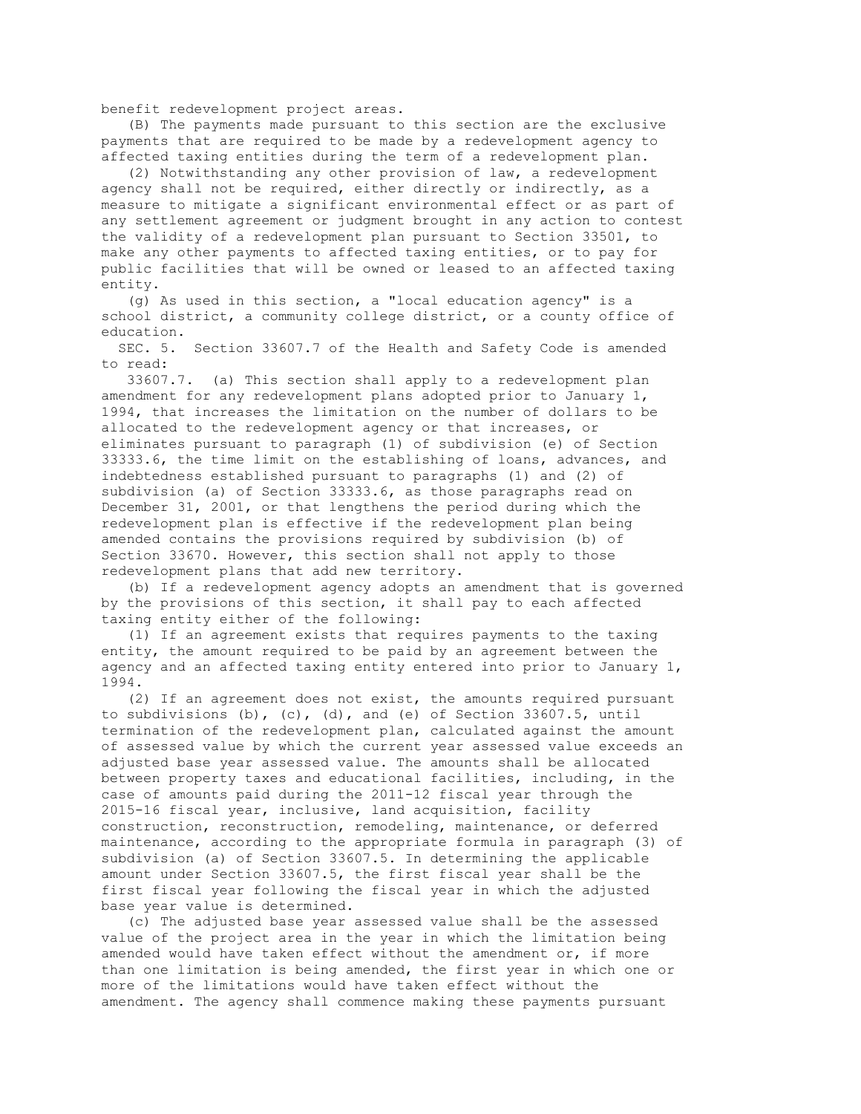benefit redevelopment project areas.

 (B) The payments made pursuant to this section are the exclusive payments that are required to be made by a redevelopment agency to affected taxing entities during the term of a redevelopment plan.

 (2) Notwithstanding any other provision of law, a redevelopment agency shall not be required, either directly or indirectly, as a measure to mitigate a significant environmental effect or as part of any settlement agreement or judgment brought in any action to contest the validity of a redevelopment plan pursuant to Section 33501, to make any other payments to affected taxing entities, or to pay for public facilities that will be owned or leased to an affected taxing entity.

 (g) As used in this section, a "local education agency" is a school district, a community college district, or a county office of education.

 SEC. 5. Section 33607.7 of the Health and Safety Code is amended to read:

 33607.7. (a) This section shall apply to a redevelopment plan amendment for any redevelopment plans adopted prior to January 1, 1994, that increases the limitation on the number of dollars to be allocated to the redevelopment agency or that increases, or eliminates pursuant to paragraph (1) of subdivision (e) of Section 33333.6, the time limit on the establishing of loans, advances, and indebtedness established pursuant to paragraphs (1) and (2) of subdivision (a) of Section 33333.6, as those paragraphs read on December 31, 2001, or that lengthens the period during which the redevelopment plan is effective if the redevelopment plan being amended contains the provisions required by subdivision (b) of Section 33670. However, this section shall not apply to those redevelopment plans that add new territory.

 (b) If a redevelopment agency adopts an amendment that is governed by the provisions of this section, it shall pay to each affected taxing entity either of the following:

 (1) If an agreement exists that requires payments to the taxing entity, the amount required to be paid by an agreement between the agency and an affected taxing entity entered into prior to January 1, 1994.

 (2) If an agreement does not exist, the amounts required pursuant to subdivisions  $(b)$ ,  $(c)$ ,  $(d)$ , and  $(e)$  of Section 33607.5, until termination of the redevelopment plan, calculated against the amount of assessed value by which the current year assessed value exceeds an adjusted base year assessed value. The amounts shall be allocated between property taxes and educational facilities, including, in the case of amounts paid during the 2011-12 fiscal year through the 2015-16 fiscal year, inclusive, land acquisition, facility construction, reconstruction, remodeling, maintenance, or deferred maintenance, according to the appropriate formula in paragraph (3) of subdivision (a) of Section 33607.5. In determining the applicable amount under Section 33607.5, the first fiscal year shall be the first fiscal year following the fiscal year in which the adjusted base year value is determined.

 (c) The adjusted base year assessed value shall be the assessed value of the project area in the year in which the limitation being amended would have taken effect without the amendment or, if more than one limitation is being amended, the first year in which one or more of the limitations would have taken effect without the amendment. The agency shall commence making these payments pursuant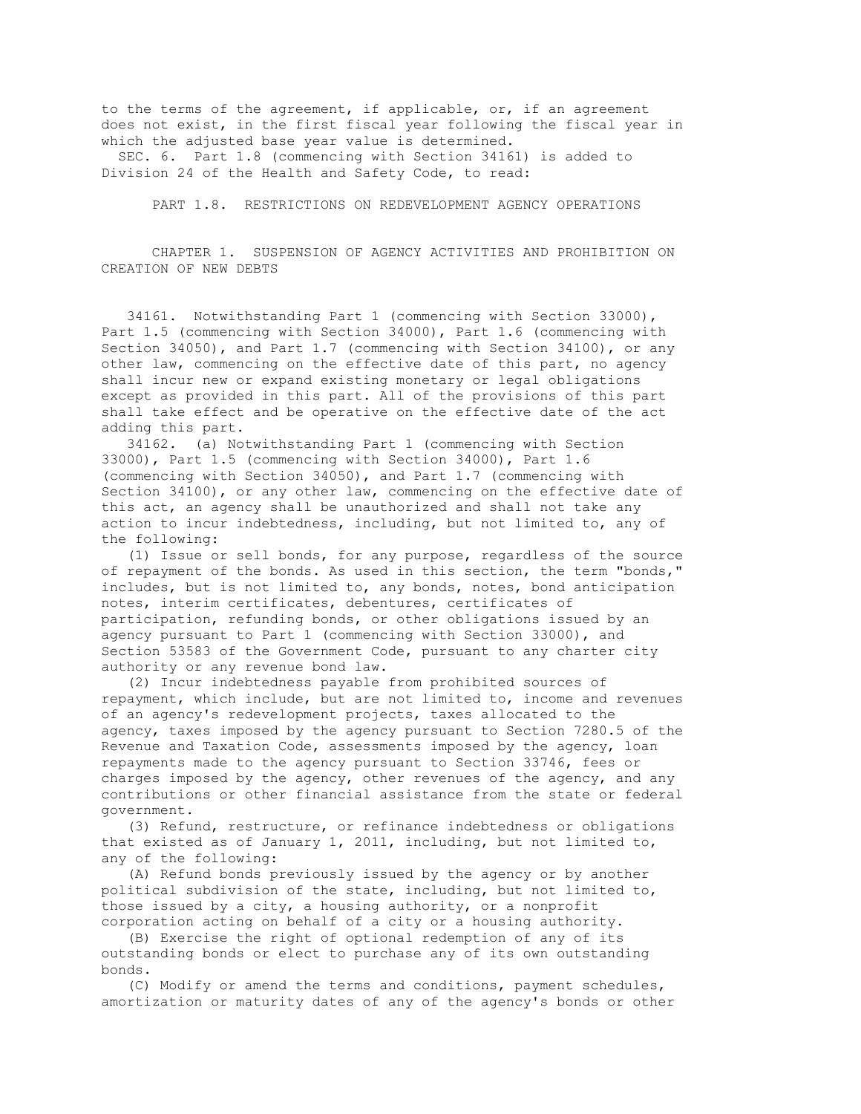to the terms of the agreement, if applicable, or, if an agreement does not exist, in the first fiscal year following the fiscal year in which the adjusted base year value is determined.

 SEC. 6. Part 1.8 (commencing with Section 34161) is added to Division 24 of the Health and Safety Code, to read:

PART 1.8. RESTRICTIONS ON REDEVELOPMENT AGENCY OPERATIONS

 CHAPTER 1. SUSPENSION OF AGENCY ACTIVITIES AND PROHIBITION ON CREATION OF NEW DEBTS

 34161. Notwithstanding Part 1 (commencing with Section 33000), Part 1.5 (commencing with Section 34000), Part 1.6 (commencing with Section 34050), and Part 1.7 (commencing with Section 34100), or any other law, commencing on the effective date of this part, no agency shall incur new or expand existing monetary or legal obligations except as provided in this part. All of the provisions of this part shall take effect and be operative on the effective date of the act adding this part.

 34162. (a) Notwithstanding Part 1 (commencing with Section 33000), Part 1.5 (commencing with Section 34000), Part 1.6 (commencing with Section 34050), and Part 1.7 (commencing with Section 34100), or any other law, commencing on the effective date of this act, an agency shall be unauthorized and shall not take any action to incur indebtedness, including, but not limited to, any of the following:

 (1) Issue or sell bonds, for any purpose, regardless of the source of repayment of the bonds. As used in this section, the term "bonds," includes, but is not limited to, any bonds, notes, bond anticipation notes, interim certificates, debentures, certificates of participation, refunding bonds, or other obligations issued by an agency pursuant to Part 1 (commencing with Section 33000), and Section 53583 of the Government Code, pursuant to any charter city authority or any revenue bond law.

 (2) Incur indebtedness payable from prohibited sources of repayment, which include, but are not limited to, income and revenues of an agency's redevelopment projects, taxes allocated to the agency, taxes imposed by the agency pursuant to Section 7280.5 of the Revenue and Taxation Code, assessments imposed by the agency, loan repayments made to the agency pursuant to Section 33746, fees or charges imposed by the agency, other revenues of the agency, and any contributions or other financial assistance from the state or federal government.

 (3) Refund, restructure, or refinance indebtedness or obligations that existed as of January 1, 2011, including, but not limited to, any of the following:

 (A) Refund bonds previously issued by the agency or by another political subdivision of the state, including, but not limited to, those issued by a city, a housing authority, or a nonprofit corporation acting on behalf of a city or a housing authority.

 (B) Exercise the right of optional redemption of any of its outstanding bonds or elect to purchase any of its own outstanding bonds.

 (C) Modify or amend the terms and conditions, payment schedules, amortization or maturity dates of any of the agency's bonds or other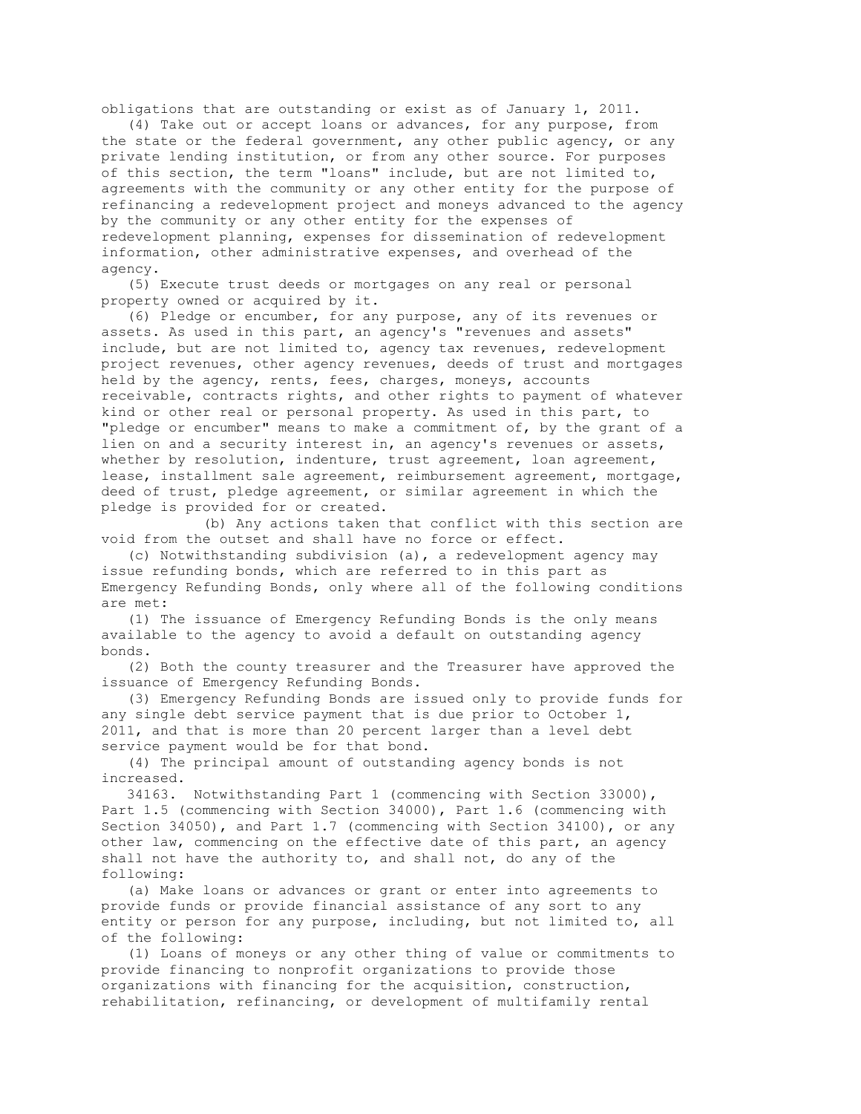obligations that are outstanding or exist as of January 1, 2011.

 (4) Take out or accept loans or advances, for any purpose, from the state or the federal government, any other public agency, or any private lending institution, or from any other source. For purposes of this section, the term "loans" include, but are not limited to, agreements with the community or any other entity for the purpose of refinancing a redevelopment project and moneys advanced to the agency by the community or any other entity for the expenses of redevelopment planning, expenses for dissemination of redevelopment information, other administrative expenses, and overhead of the agency.

 (5) Execute trust deeds or mortgages on any real or personal property owned or acquired by it.

 (6) Pledge or encumber, for any purpose, any of its revenues or assets. As used in this part, an agency's "revenues and assets" include, but are not limited to, agency tax revenues, redevelopment project revenues, other agency revenues, deeds of trust and mortgages held by the agency, rents, fees, charges, moneys, accounts receivable, contracts rights, and other rights to payment of whatever kind or other real or personal property. As used in this part, to "pledge or encumber" means to make a commitment of, by the grant of a lien on and a security interest in, an agency's revenues or assets, whether by resolution, indenture, trust agreement, loan agreement, lease, installment sale agreement, reimbursement agreement, mortgage, deed of trust, pledge agreement, or similar agreement in which the pledge is provided for or created.

 (b) Any actions taken that conflict with this section are void from the outset and shall have no force or effect.

 (c) Notwithstanding subdivision (a), a redevelopment agency may issue refunding bonds, which are referred to in this part as Emergency Refunding Bonds, only where all of the following conditions are met:

 (1) The issuance of Emergency Refunding Bonds is the only means available to the agency to avoid a default on outstanding agency bonds.

 (2) Both the county treasurer and the Treasurer have approved the issuance of Emergency Refunding Bonds.

 (3) Emergency Refunding Bonds are issued only to provide funds for any single debt service payment that is due prior to October 1, 2011, and that is more than 20 percent larger than a level debt service payment would be for that bond.

 (4) The principal amount of outstanding agency bonds is not increased.

 34163. Notwithstanding Part 1 (commencing with Section 33000), Part 1.5 (commencing with Section 34000), Part 1.6 (commencing with Section 34050), and Part 1.7 (commencing with Section 34100), or any other law, commencing on the effective date of this part, an agency shall not have the authority to, and shall not, do any of the following:

 (a) Make loans or advances or grant or enter into agreements to provide funds or provide financial assistance of any sort to any entity or person for any purpose, including, but not limited to, all of the following:

 (1) Loans of moneys or any other thing of value or commitments to provide financing to nonprofit organizations to provide those organizations with financing for the acquisition, construction, rehabilitation, refinancing, or development of multifamily rental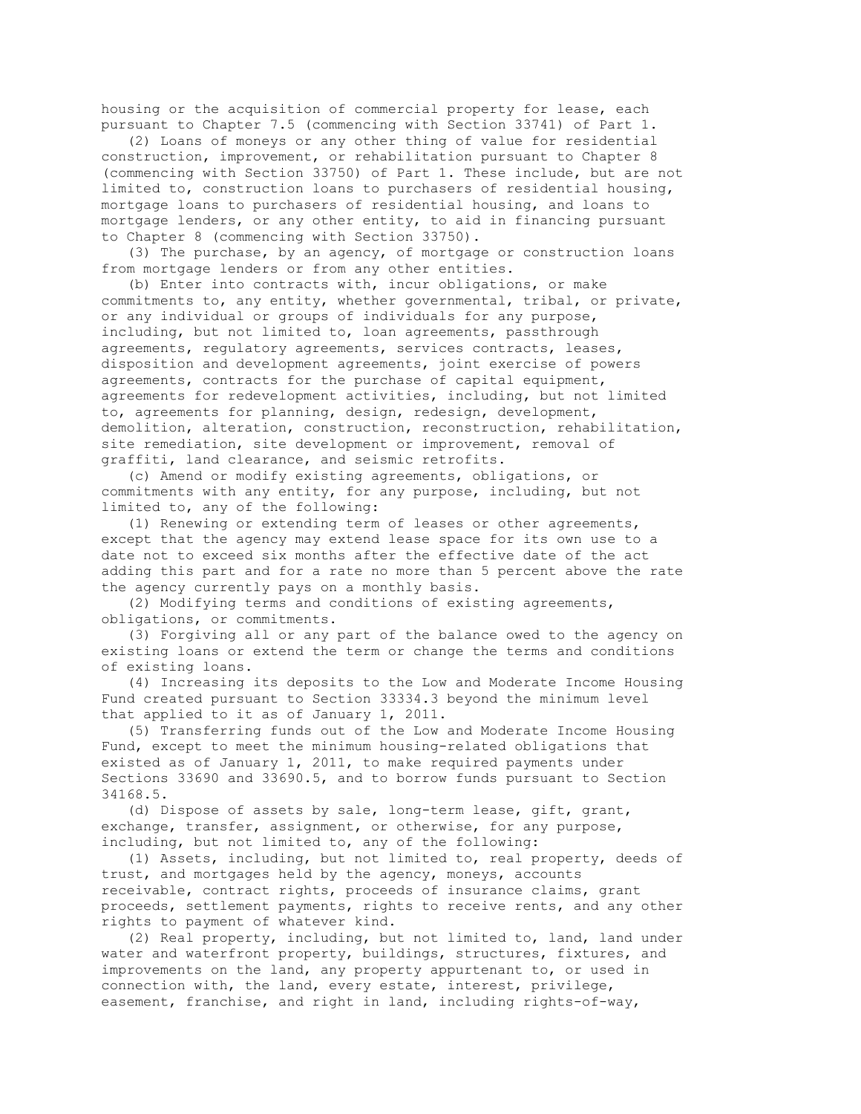housing or the acquisition of commercial property for lease, each pursuant to Chapter 7.5 (commencing with Section 33741) of Part 1.

 (2) Loans of moneys or any other thing of value for residential construction, improvement, or rehabilitation pursuant to Chapter 8 (commencing with Section 33750) of Part 1. These include, but are not limited to, construction loans to purchasers of residential housing, mortgage loans to purchasers of residential housing, and loans to mortgage lenders, or any other entity, to aid in financing pursuant to Chapter 8 (commencing with Section 33750).

 (3) The purchase, by an agency, of mortgage or construction loans from mortgage lenders or from any other entities.

 (b) Enter into contracts with, incur obligations, or make commitments to, any entity, whether governmental, tribal, or private, or any individual or groups of individuals for any purpose, including, but not limited to, loan agreements, passthrough agreements, regulatory agreements, services contracts, leases, disposition and development agreements, joint exercise of powers agreements, contracts for the purchase of capital equipment, agreements for redevelopment activities, including, but not limited to, agreements for planning, design, redesign, development, demolition, alteration, construction, reconstruction, rehabilitation, site remediation, site development or improvement, removal of graffiti, land clearance, and seismic retrofits.

 (c) Amend or modify existing agreements, obligations, or commitments with any entity, for any purpose, including, but not limited to, any of the following:

 (1) Renewing or extending term of leases or other agreements, except that the agency may extend lease space for its own use to a date not to exceed six months after the effective date of the act adding this part and for a rate no more than 5 percent above the rate the agency currently pays on a monthly basis.

 (2) Modifying terms and conditions of existing agreements, obligations, or commitments.

 (3) Forgiving all or any part of the balance owed to the agency on existing loans or extend the term or change the terms and conditions of existing loans.

 (4) Increasing its deposits to the Low and Moderate Income Housing Fund created pursuant to Section 33334.3 beyond the minimum level that applied to it as of January 1, 2011.

 (5) Transferring funds out of the Low and Moderate Income Housing Fund, except to meet the minimum housing-related obligations that existed as of January 1, 2011, to make required payments under Sections 33690 and 33690.5, and to borrow funds pursuant to Section 34168.5.

 (d) Dispose of assets by sale, long-term lease, gift, grant, exchange, transfer, assignment, or otherwise, for any purpose, including, but not limited to, any of the following:

 (1) Assets, including, but not limited to, real property, deeds of trust, and mortgages held by the agency, moneys, accounts receivable, contract rights, proceeds of insurance claims, grant proceeds, settlement payments, rights to receive rents, and any other rights to payment of whatever kind.

 (2) Real property, including, but not limited to, land, land under water and waterfront property, buildings, structures, fixtures, and improvements on the land, any property appurtenant to, or used in connection with, the land, every estate, interest, privilege, easement, franchise, and right in land, including rights-of-way,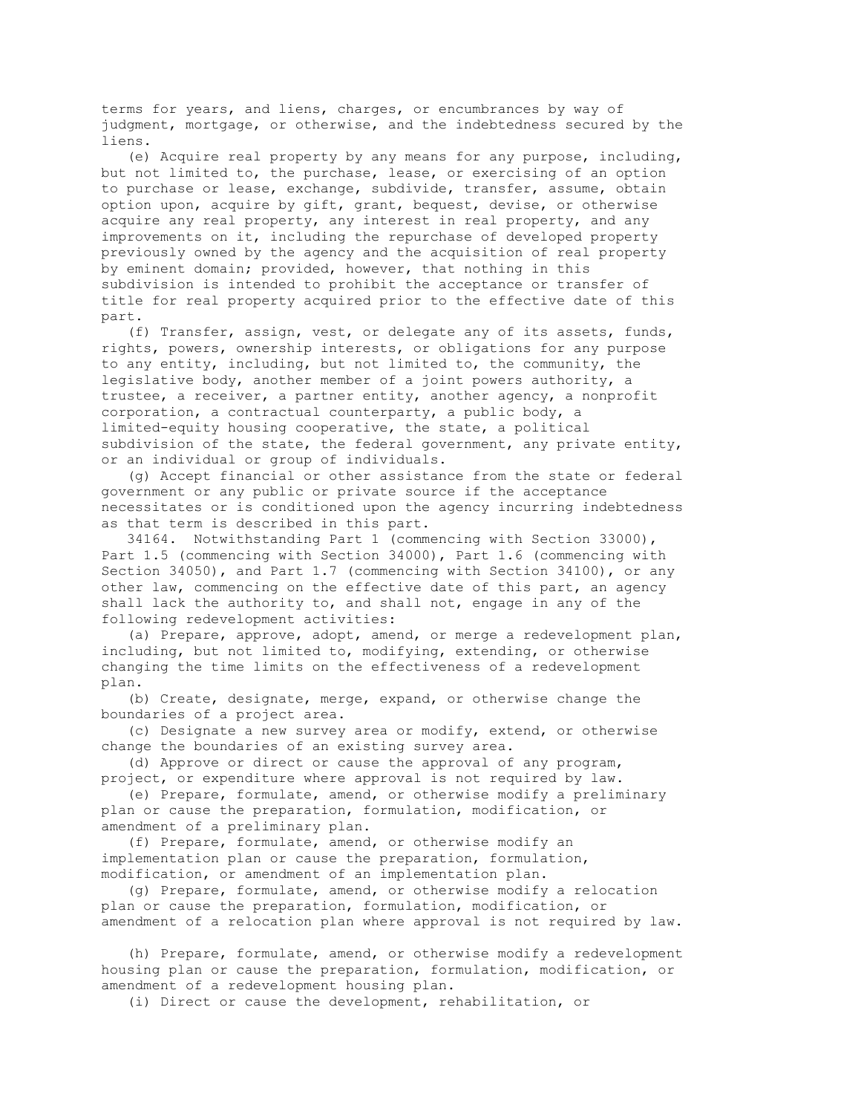terms for years, and liens, charges, or encumbrances by way of judgment, mortgage, or otherwise, and the indebtedness secured by the liens.

 (e) Acquire real property by any means for any purpose, including, but not limited to, the purchase, lease, or exercising of an option to purchase or lease, exchange, subdivide, transfer, assume, obtain option upon, acquire by gift, grant, bequest, devise, or otherwise acquire any real property, any interest in real property, and any improvements on it, including the repurchase of developed property previously owned by the agency and the acquisition of real property by eminent domain; provided, however, that nothing in this subdivision is intended to prohibit the acceptance or transfer of title for real property acquired prior to the effective date of this part.

 (f) Transfer, assign, vest, or delegate any of its assets, funds, rights, powers, ownership interests, or obligations for any purpose to any entity, including, but not limited to, the community, the legislative body, another member of a joint powers authority, a trustee, a receiver, a partner entity, another agency, a nonprofit corporation, a contractual counterparty, a public body, a limited-equity housing cooperative, the state, a political subdivision of the state, the federal government, any private entity, or an individual or group of individuals.

 (g) Accept financial or other assistance from the state or federal government or any public or private source if the acceptance necessitates or is conditioned upon the agency incurring indebtedness as that term is described in this part.

 34164. Notwithstanding Part 1 (commencing with Section 33000), Part 1.5 (commencing with Section 34000), Part 1.6 (commencing with Section 34050), and Part 1.7 (commencing with Section 34100), or any other law, commencing on the effective date of this part, an agency shall lack the authority to, and shall not, engage in any of the following redevelopment activities:

 (a) Prepare, approve, adopt, amend, or merge a redevelopment plan, including, but not limited to, modifying, extending, or otherwise changing the time limits on the effectiveness of a redevelopment plan.

 (b) Create, designate, merge, expand, or otherwise change the boundaries of a project area.

 (c) Designate a new survey area or modify, extend, or otherwise change the boundaries of an existing survey area.

 (d) Approve or direct or cause the approval of any program, project, or expenditure where approval is not required by law.

 (e) Prepare, formulate, amend, or otherwise modify a preliminary plan or cause the preparation, formulation, modification, or amendment of a preliminary plan.

 (f) Prepare, formulate, amend, or otherwise modify an implementation plan or cause the preparation, formulation, modification, or amendment of an implementation plan.

 (g) Prepare, formulate, amend, or otherwise modify a relocation plan or cause the preparation, formulation, modification, or amendment of a relocation plan where approval is not required by law.

 (h) Prepare, formulate, amend, or otherwise modify a redevelopment housing plan or cause the preparation, formulation, modification, or amendment of a redevelopment housing plan.

(i) Direct or cause the development, rehabilitation, or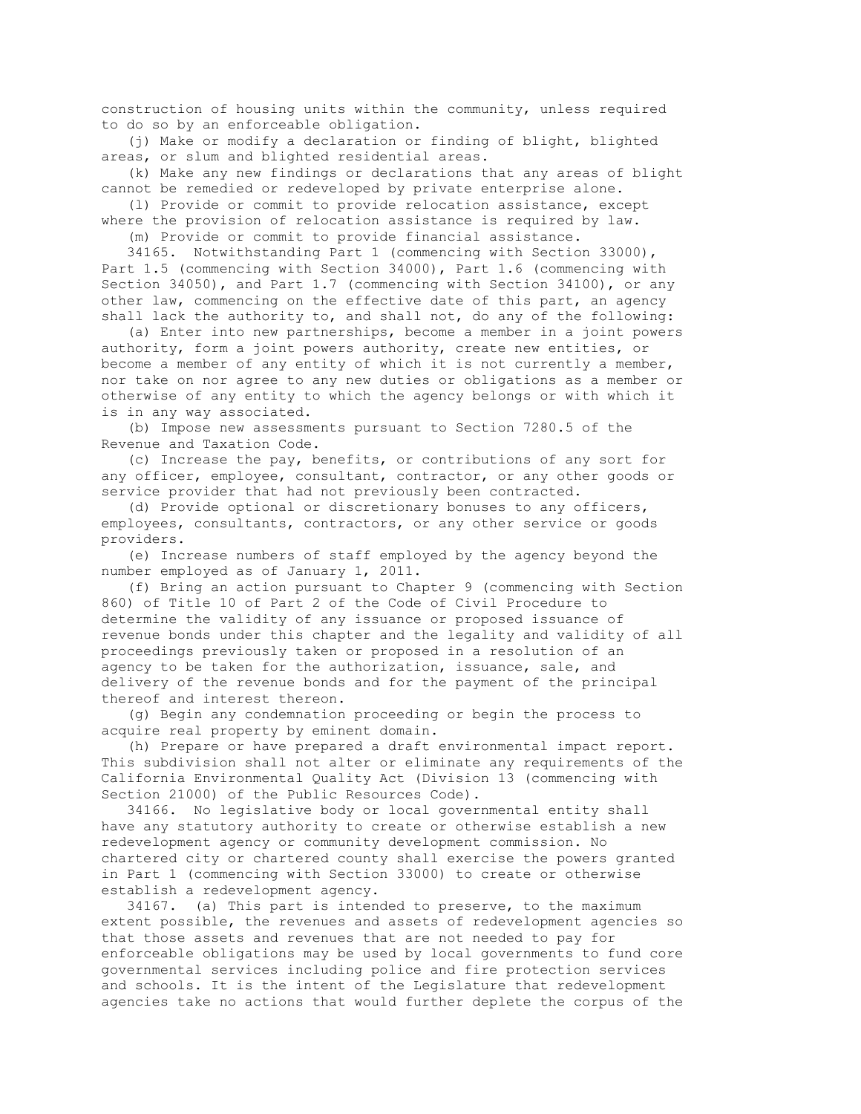construction of housing units within the community, unless required to do so by an enforceable obligation.

 (j) Make or modify a declaration or finding of blight, blighted areas, or slum and blighted residential areas.

 (k) Make any new findings or declarations that any areas of blight cannot be remedied or redeveloped by private enterprise alone.

 (l) Provide or commit to provide relocation assistance, except where the provision of relocation assistance is required by law.

(m) Provide or commit to provide financial assistance.

 34165. Notwithstanding Part 1 (commencing with Section 33000), Part 1.5 (commencing with Section 34000), Part 1.6 (commencing with Section 34050), and Part 1.7 (commencing with Section 34100), or any other law, commencing on the effective date of this part, an agency shall lack the authority to, and shall not, do any of the following:

 (a) Enter into new partnerships, become a member in a joint powers authority, form a joint powers authority, create new entities, or become a member of any entity of which it is not currently a member, nor take on nor agree to any new duties or obligations as a member or otherwise of any entity to which the agency belongs or with which it is in any way associated.

 (b) Impose new assessments pursuant to Section 7280.5 of the Revenue and Taxation Code.

 (c) Increase the pay, benefits, or contributions of any sort for any officer, employee, consultant, contractor, or any other goods or service provider that had not previously been contracted.

 (d) Provide optional or discretionary bonuses to any officers, employees, consultants, contractors, or any other service or goods providers.

 (e) Increase numbers of staff employed by the agency beyond the number employed as of January 1, 2011.

 (f) Bring an action pursuant to Chapter 9 (commencing with Section 860) of Title 10 of Part 2 of the Code of Civil Procedure to determine the validity of any issuance or proposed issuance of revenue bonds under this chapter and the legality and validity of all proceedings previously taken or proposed in a resolution of an agency to be taken for the authorization, issuance, sale, and delivery of the revenue bonds and for the payment of the principal thereof and interest thereon.

 (g) Begin any condemnation proceeding or begin the process to acquire real property by eminent domain.

 (h) Prepare or have prepared a draft environmental impact report. This subdivision shall not alter or eliminate any requirements of the California Environmental Quality Act (Division 13 (commencing with Section 21000) of the Public Resources Code).

 34166. No legislative body or local governmental entity shall have any statutory authority to create or otherwise establish a new redevelopment agency or community development commission. No chartered city or chartered county shall exercise the powers granted in Part 1 (commencing with Section 33000) to create or otherwise establish a redevelopment agency.

 34167. (a) This part is intended to preserve, to the maximum extent possible, the revenues and assets of redevelopment agencies so that those assets and revenues that are not needed to pay for enforceable obligations may be used by local governments to fund core governmental services including police and fire protection services and schools. It is the intent of the Legislature that redevelopment agencies take no actions that would further deplete the corpus of the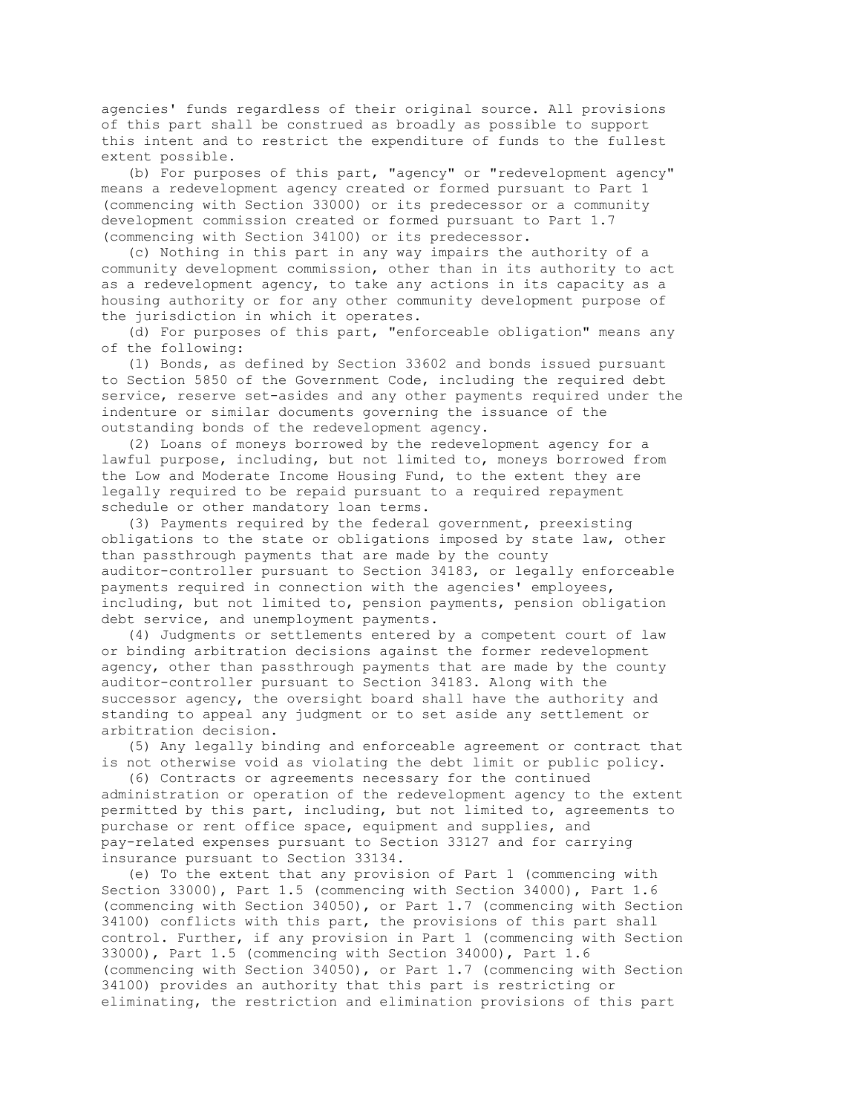agencies' funds regardless of their original source. All provisions of this part shall be construed as broadly as possible to support this intent and to restrict the expenditure of funds to the fullest extent possible.

 (b) For purposes of this part, "agency" or "redevelopment agency" means a redevelopment agency created or formed pursuant to Part 1 (commencing with Section 33000) or its predecessor or a community development commission created or formed pursuant to Part 1.7 (commencing with Section 34100) or its predecessor.

 (c) Nothing in this part in any way impairs the authority of a community development commission, other than in its authority to act as a redevelopment agency, to take any actions in its capacity as a housing authority or for any other community development purpose of the jurisdiction in which it operates.

 (d) For purposes of this part, "enforceable obligation" means any of the following:

 (1) Bonds, as defined by Section 33602 and bonds issued pursuant to Section 5850 of the Government Code, including the required debt service, reserve set-asides and any other payments required under the indenture or similar documents governing the issuance of the outstanding bonds of the redevelopment agency.

 (2) Loans of moneys borrowed by the redevelopment agency for a lawful purpose, including, but not limited to, moneys borrowed from the Low and Moderate Income Housing Fund, to the extent they are legally required to be repaid pursuant to a required repayment schedule or other mandatory loan terms.

 (3) Payments required by the federal government, preexisting obligations to the state or obligations imposed by state law, other than passthrough payments that are made by the county auditor-controller pursuant to Section 34183, or legally enforceable payments required in connection with the agencies' employees, including, but not limited to, pension payments, pension obligation debt service, and unemployment payments.

 (4) Judgments or settlements entered by a competent court of law or binding arbitration decisions against the former redevelopment agency, other than passthrough payments that are made by the county auditor-controller pursuant to Section 34183. Along with the successor agency, the oversight board shall have the authority and standing to appeal any judgment or to set aside any settlement or arbitration decision.

 (5) Any legally binding and enforceable agreement or contract that is not otherwise void as violating the debt limit or public policy.

 (6) Contracts or agreements necessary for the continued administration or operation of the redevelopment agency to the extent permitted by this part, including, but not limited to, agreements to purchase or rent office space, equipment and supplies, and pay-related expenses pursuant to Section 33127 and for carrying insurance pursuant to Section 33134.

 (e) To the extent that any provision of Part 1 (commencing with Section 33000), Part 1.5 (commencing with Section 34000), Part 1.6 (commencing with Section 34050), or Part 1.7 (commencing with Section 34100) conflicts with this part, the provisions of this part shall control. Further, if any provision in Part 1 (commencing with Section 33000), Part 1.5 (commencing with Section 34000), Part 1.6 (commencing with Section 34050), or Part 1.7 (commencing with Section 34100) provides an authority that this part is restricting or eliminating, the restriction and elimination provisions of this part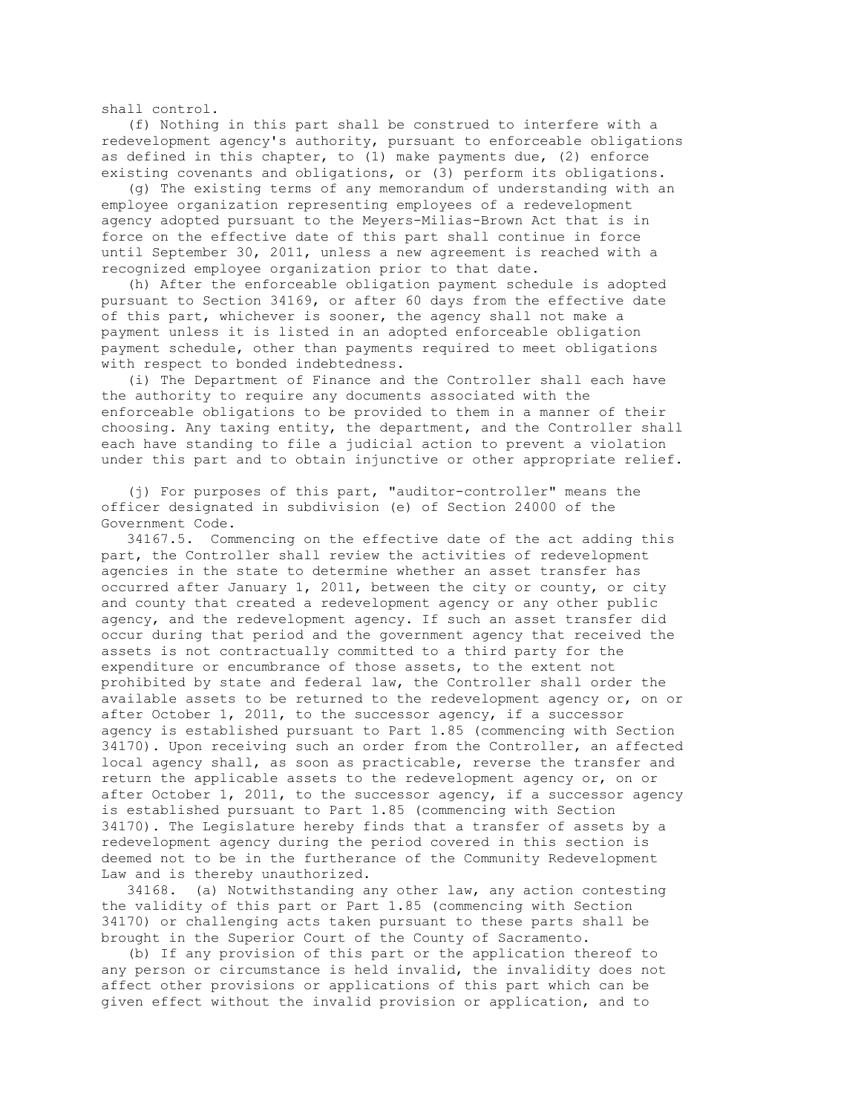shall control.

 (f) Nothing in this part shall be construed to interfere with a redevelopment agency's authority, pursuant to enforceable obligations as defined in this chapter, to (1) make payments due, (2) enforce existing covenants and obligations, or (3) perform its obligations.

 (g) The existing terms of any memorandum of understanding with an employee organization representing employees of a redevelopment agency adopted pursuant to the Meyers-Milias-Brown Act that is in force on the effective date of this part shall continue in force until September 30, 2011, unless a new agreement is reached with a recognized employee organization prior to that date.

 (h) After the enforceable obligation payment schedule is adopted pursuant to Section 34169, or after 60 days from the effective date of this part, whichever is sooner, the agency shall not make a payment unless it is listed in an adopted enforceable obligation payment schedule, other than payments required to meet obligations with respect to bonded indebtedness.

 (i) The Department of Finance and the Controller shall each have the authority to require any documents associated with the enforceable obligations to be provided to them in a manner of their choosing. Any taxing entity, the department, and the Controller shall each have standing to file a judicial action to prevent a violation under this part and to obtain injunctive or other appropriate relief.

 (j) For purposes of this part, "auditor-controller" means the officer designated in subdivision (e) of Section 24000 of the Government Code.

 34167.5. Commencing on the effective date of the act adding this part, the Controller shall review the activities of redevelopment agencies in the state to determine whether an asset transfer has occurred after January 1, 2011, between the city or county, or city and county that created a redevelopment agency or any other public agency, and the redevelopment agency. If such an asset transfer did occur during that period and the government agency that received the assets is not contractually committed to a third party for the expenditure or encumbrance of those assets, to the extent not prohibited by state and federal law, the Controller shall order the available assets to be returned to the redevelopment agency or, on or after October 1, 2011, to the successor agency, if a successor agency is established pursuant to Part 1.85 (commencing with Section 34170). Upon receiving such an order from the Controller, an affected local agency shall, as soon as practicable, reverse the transfer and return the applicable assets to the redevelopment agency or, on or after October 1, 2011, to the successor agency, if a successor agency is established pursuant to Part 1.85 (commencing with Section 34170). The Legislature hereby finds that a transfer of assets by a redevelopment agency during the period covered in this section is deemed not to be in the furtherance of the Community Redevelopment Law and is thereby unauthorized.

 34168. (a) Notwithstanding any other law, any action contesting the validity of this part or Part 1.85 (commencing with Section 34170) or challenging acts taken pursuant to these parts shall be brought in the Superior Court of the County of Sacramento.

 (b) If any provision of this part or the application thereof to any person or circumstance is held invalid, the invalidity does not affect other provisions or applications of this part which can be given effect without the invalid provision or application, and to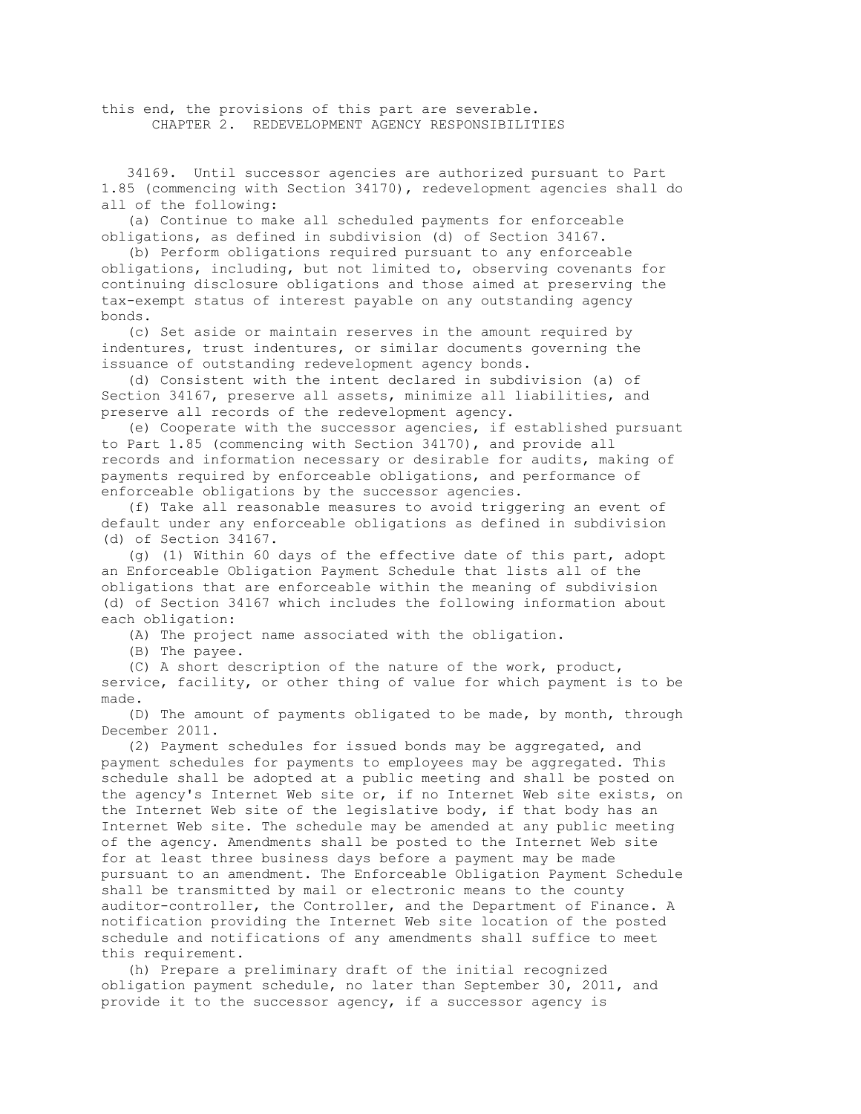this end, the provisions of this part are severable. CHAPTER 2. REDEVELOPMENT AGENCY RESPONSIBILITIES

 34169. Until successor agencies are authorized pursuant to Part 1.85 (commencing with Section 34170), redevelopment agencies shall do all of the following:

 (a) Continue to make all scheduled payments for enforceable obligations, as defined in subdivision (d) of Section 34167.

 (b) Perform obligations required pursuant to any enforceable obligations, including, but not limited to, observing covenants for continuing disclosure obligations and those aimed at preserving the tax-exempt status of interest payable on any outstanding agency bonds.

 (c) Set aside or maintain reserves in the amount required by indentures, trust indentures, or similar documents governing the issuance of outstanding redevelopment agency bonds.

 (d) Consistent with the intent declared in subdivision (a) of Section 34167, preserve all assets, minimize all liabilities, and preserve all records of the redevelopment agency.

 (e) Cooperate with the successor agencies, if established pursuant to Part 1.85 (commencing with Section 34170), and provide all records and information necessary or desirable for audits, making of payments required by enforceable obligations, and performance of enforceable obligations by the successor agencies.

 (f) Take all reasonable measures to avoid triggering an event of default under any enforceable obligations as defined in subdivision (d) of Section 34167.

 (g) (1) Within 60 days of the effective date of this part, adopt an Enforceable Obligation Payment Schedule that lists all of the obligations that are enforceable within the meaning of subdivision (d) of Section 34167 which includes the following information about each obligation:

(A) The project name associated with the obligation.

(B) The payee.

 (C) A short description of the nature of the work, product, service, facility, or other thing of value for which payment is to be made.

 (D) The amount of payments obligated to be made, by month, through December 2011.

 (2) Payment schedules for issued bonds may be aggregated, and payment schedules for payments to employees may be aggregated. This schedule shall be adopted at a public meeting and shall be posted on the agency's Internet Web site or, if no Internet Web site exists, on the Internet Web site of the legislative body, if that body has an Internet Web site. The schedule may be amended at any public meeting of the agency. Amendments shall be posted to the Internet Web site for at least three business days before a payment may be made pursuant to an amendment. The Enforceable Obligation Payment Schedule shall be transmitted by mail or electronic means to the county auditor-controller, the Controller, and the Department of Finance. A notification providing the Internet Web site location of the posted schedule and notifications of any amendments shall suffice to meet this requirement.

 (h) Prepare a preliminary draft of the initial recognized obligation payment schedule, no later than September 30, 2011, and provide it to the successor agency, if a successor agency is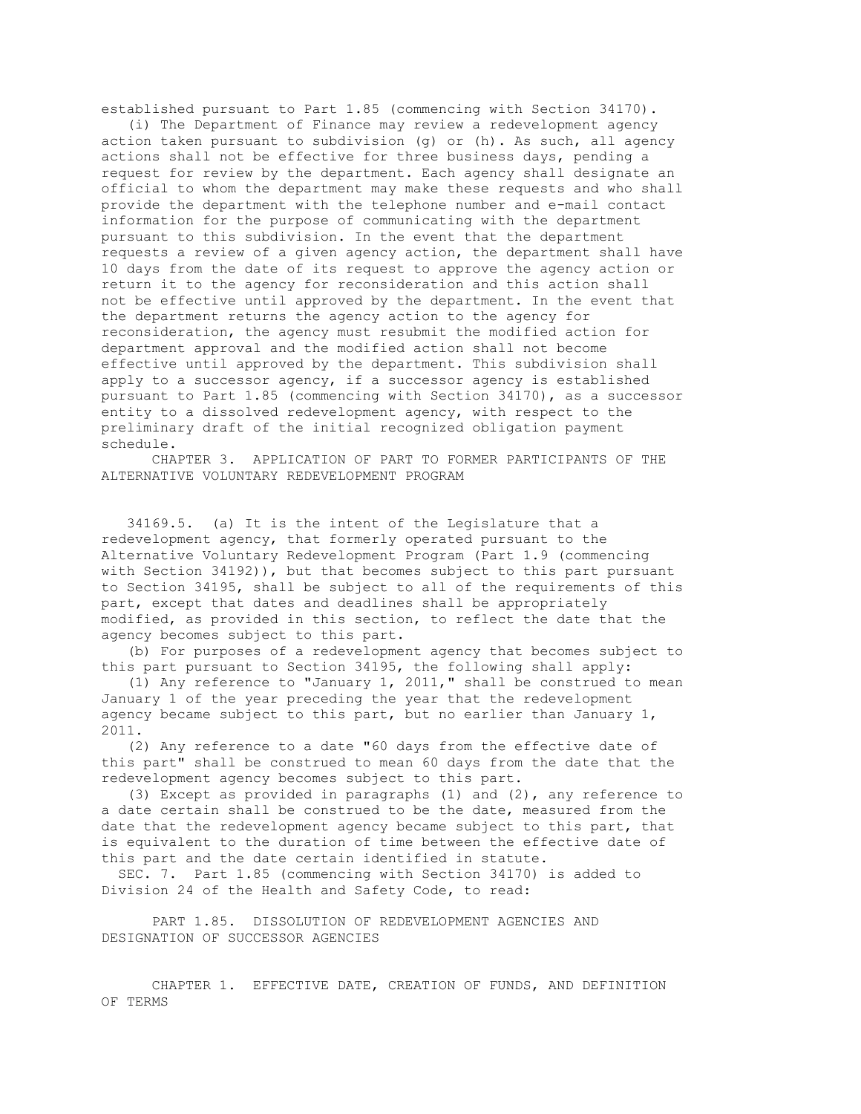established pursuant to Part 1.85 (commencing with Section 34170).

 (i) The Department of Finance may review a redevelopment agency action taken pursuant to subdivision (g) or (h). As such, all agency actions shall not be effective for three business days, pending a request for review by the department. Each agency shall designate an official to whom the department may make these requests and who shall provide the department with the telephone number and e-mail contact information for the purpose of communicating with the department pursuant to this subdivision. In the event that the department requests a review of a given agency action, the department shall have 10 days from the date of its request to approve the agency action or return it to the agency for reconsideration and this action shall not be effective until approved by the department. In the event that the department returns the agency action to the agency for reconsideration, the agency must resubmit the modified action for department approval and the modified action shall not become effective until approved by the department. This subdivision shall apply to a successor agency, if a successor agency is established pursuant to Part 1.85 (commencing with Section 34170), as a successor entity to a dissolved redevelopment agency, with respect to the preliminary draft of the initial recognized obligation payment schedule.

 CHAPTER 3. APPLICATION OF PART TO FORMER PARTICIPANTS OF THE ALTERNATIVE VOLUNTARY REDEVELOPMENT PROGRAM

 34169.5. (a) It is the intent of the Legislature that a redevelopment agency, that formerly operated pursuant to the Alternative Voluntary Redevelopment Program (Part 1.9 (commencing with Section 34192)), but that becomes subject to this part pursuant to Section 34195, shall be subject to all of the requirements of this part, except that dates and deadlines shall be appropriately modified, as provided in this section, to reflect the date that the agency becomes subject to this part.

 (b) For purposes of a redevelopment agency that becomes subject to this part pursuant to Section 34195, the following shall apply:

 (1) Any reference to "January 1, 2011," shall be construed to mean January 1 of the year preceding the year that the redevelopment agency became subject to this part, but no earlier than January 1, 2011.

 (2) Any reference to a date "60 days from the effective date of this part" shall be construed to mean 60 days from the date that the redevelopment agency becomes subject to this part.

 (3) Except as provided in paragraphs (1) and (2), any reference to a date certain shall be construed to be the date, measured from the date that the redevelopment agency became subject to this part, that is equivalent to the duration of time between the effective date of this part and the date certain identified in statute.

 SEC. 7. Part 1.85 (commencing with Section 34170) is added to Division 24 of the Health and Safety Code, to read:

 PART 1.85. DISSOLUTION OF REDEVELOPMENT AGENCIES AND DESIGNATION OF SUCCESSOR AGENCIES

 CHAPTER 1. EFFECTIVE DATE, CREATION OF FUNDS, AND DEFINITION OF TERMS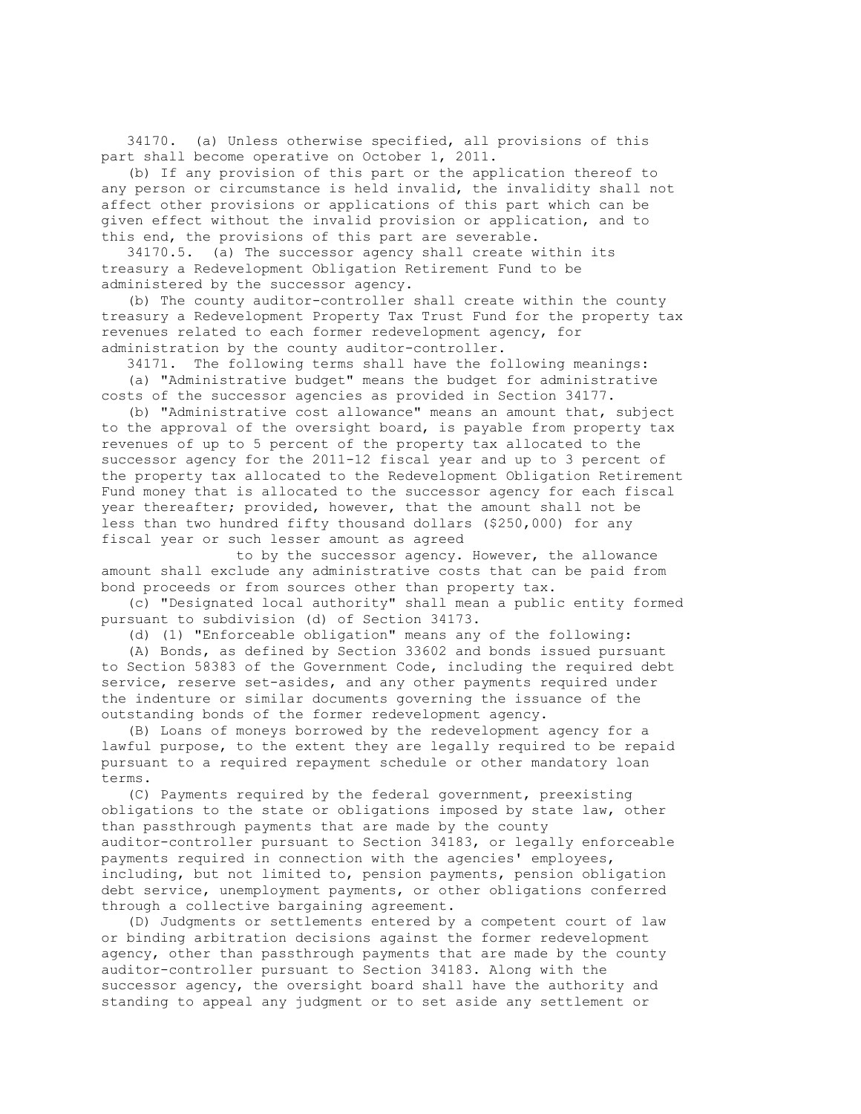34170. (a) Unless otherwise specified, all provisions of this part shall become operative on October 1, 2011.

 (b) If any provision of this part or the application thereof to any person or circumstance is held invalid, the invalidity shall not affect other provisions or applications of this part which can be given effect without the invalid provision or application, and to this end, the provisions of this part are severable.

 34170.5. (a) The successor agency shall create within its treasury a Redevelopment Obligation Retirement Fund to be administered by the successor agency.

 (b) The county auditor-controller shall create within the county treasury a Redevelopment Property Tax Trust Fund for the property tax revenues related to each former redevelopment agency, for administration by the county auditor-controller.

 34171. The following terms shall have the following meanings: (a) "Administrative budget" means the budget for administrative costs of the successor agencies as provided in Section 34177.

 (b) "Administrative cost allowance" means an amount that, subject to the approval of the oversight board, is payable from property tax revenues of up to 5 percent of the property tax allocated to the successor agency for the 2011-12 fiscal year and up to 3 percent of the property tax allocated to the Redevelopment Obligation Retirement Fund money that is allocated to the successor agency for each fiscal year thereafter; provided, however, that the amount shall not be less than two hundred fifty thousand dollars (\$250,000) for any fiscal year or such lesser amount as agreed

 to by the successor agency. However, the allowance amount shall exclude any administrative costs that can be paid from bond proceeds or from sources other than property tax.

 (c) "Designated local authority" shall mean a public entity formed pursuant to subdivision (d) of Section 34173.

(d) (1) "Enforceable obligation" means any of the following:

 (A) Bonds, as defined by Section 33602 and bonds issued pursuant to Section 58383 of the Government Code, including the required debt service, reserve set-asides, and any other payments required under the indenture or similar documents governing the issuance of the outstanding bonds of the former redevelopment agency.

 (B) Loans of moneys borrowed by the redevelopment agency for a lawful purpose, to the extent they are legally required to be repaid pursuant to a required repayment schedule or other mandatory loan terms.

 (C) Payments required by the federal government, preexisting obligations to the state or obligations imposed by state law, other than passthrough payments that are made by the county auditor-controller pursuant to Section 34183, or legally enforceable payments required in connection with the agencies' employees, including, but not limited to, pension payments, pension obligation debt service, unemployment payments, or other obligations conferred through a collective bargaining agreement.

 (D) Judgments or settlements entered by a competent court of law or binding arbitration decisions against the former redevelopment agency, other than passthrough payments that are made by the county auditor-controller pursuant to Section 34183. Along with the successor agency, the oversight board shall have the authority and standing to appeal any judgment or to set aside any settlement or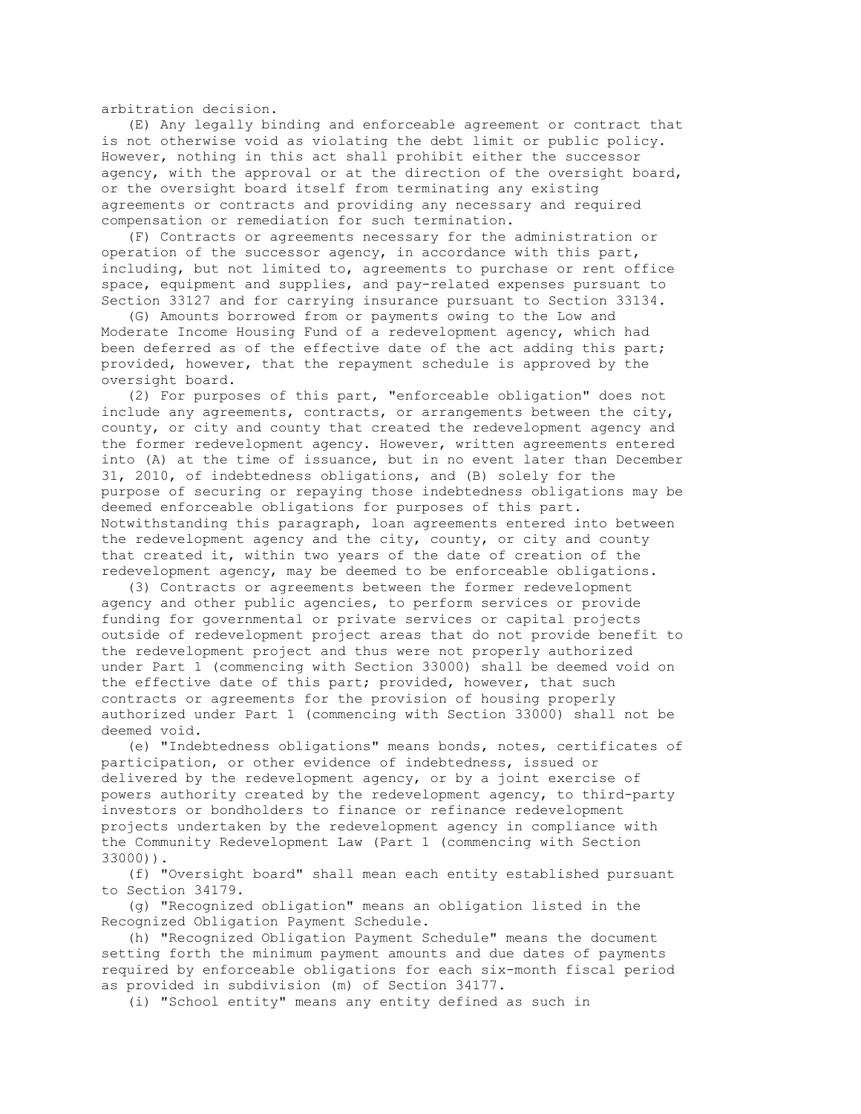arbitration decision.

 (E) Any legally binding and enforceable agreement or contract that is not otherwise void as violating the debt limit or public policy. However, nothing in this act shall prohibit either the successor agency, with the approval or at the direction of the oversight board, or the oversight board itself from terminating any existing agreements or contracts and providing any necessary and required compensation or remediation for such termination.

 (F) Contracts or agreements necessary for the administration or operation of the successor agency, in accordance with this part, including, but not limited to, agreements to purchase or rent office space, equipment and supplies, and pay-related expenses pursuant to Section 33127 and for carrying insurance pursuant to Section 33134.

 (G) Amounts borrowed from or payments owing to the Low and Moderate Income Housing Fund of a redevelopment agency, which had been deferred as of the effective date of the act adding this part; provided, however, that the repayment schedule is approved by the oversight board.

 (2) For purposes of this part, "enforceable obligation" does not include any agreements, contracts, or arrangements between the city, county, or city and county that created the redevelopment agency and the former redevelopment agency. However, written agreements entered into (A) at the time of issuance, but in no event later than December 31, 2010, of indebtedness obligations, and (B) solely for the purpose of securing or repaying those indebtedness obligations may be deemed enforceable obligations for purposes of this part. Notwithstanding this paragraph, loan agreements entered into between the redevelopment agency and the city, county, or city and county that created it, within two years of the date of creation of the redevelopment agency, may be deemed to be enforceable obligations.

 (3) Contracts or agreements between the former redevelopment agency and other public agencies, to perform services or provide funding for governmental or private services or capital projects outside of redevelopment project areas that do not provide benefit to the redevelopment project and thus were not properly authorized under Part 1 (commencing with Section 33000) shall be deemed void on the effective date of this part; provided, however, that such contracts or agreements for the provision of housing properly authorized under Part 1 (commencing with Section 33000) shall not be deemed void.

 (e) "Indebtedness obligations" means bonds, notes, certificates of participation, or other evidence of indebtedness, issued or delivered by the redevelopment agency, or by a joint exercise of powers authority created by the redevelopment agency, to third-party investors or bondholders to finance or refinance redevelopment projects undertaken by the redevelopment agency in compliance with the Community Redevelopment Law (Part 1 (commencing with Section 33000)).

 (f) "Oversight board" shall mean each entity established pursuant to Section 34179.

 (g) "Recognized obligation" means an obligation listed in the Recognized Obligation Payment Schedule.

 (h) "Recognized Obligation Payment Schedule" means the document setting forth the minimum payment amounts and due dates of payments required by enforceable obligations for each six-month fiscal period as provided in subdivision (m) of Section 34177.

(i) "School entity" means any entity defined as such in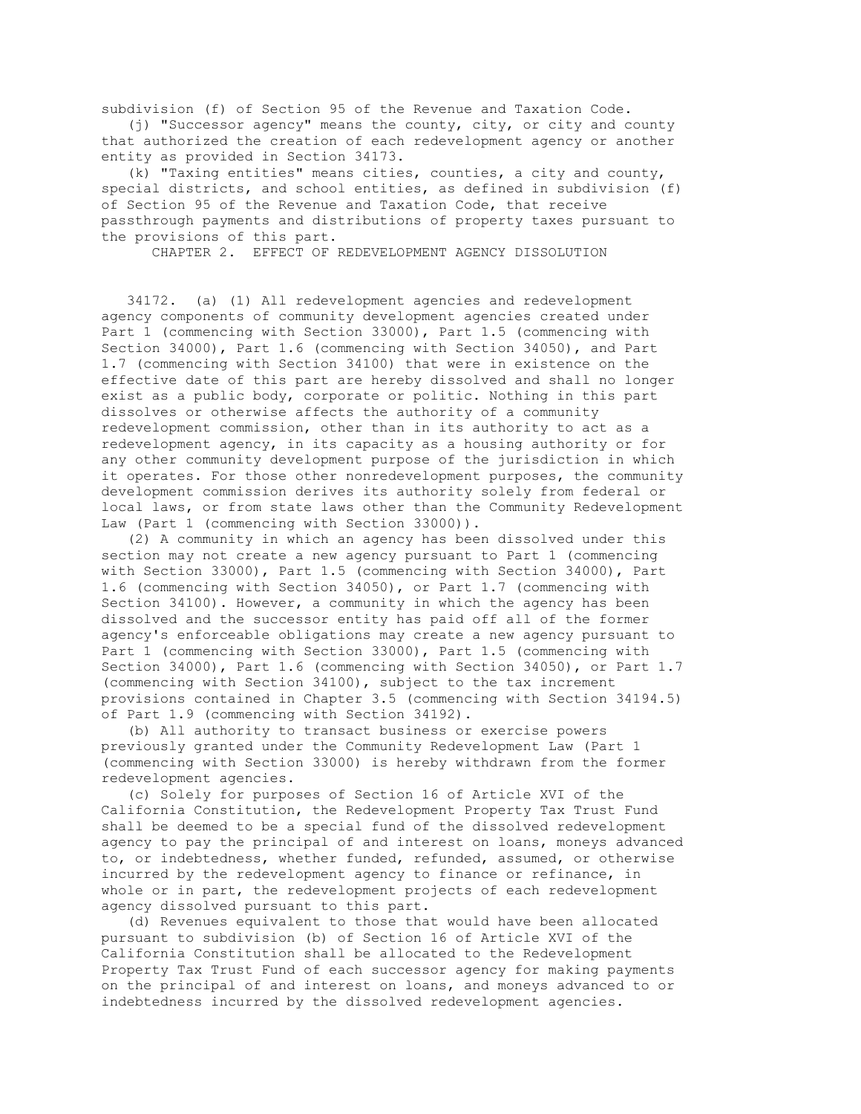subdivision (f) of Section 95 of the Revenue and Taxation Code.

 (j) "Successor agency" means the county, city, or city and county that authorized the creation of each redevelopment agency or another entity as provided in Section 34173.

 (k) "Taxing entities" means cities, counties, a city and county, special districts, and school entities, as defined in subdivision (f) of Section 95 of the Revenue and Taxation Code, that receive passthrough payments and distributions of property taxes pursuant to the provisions of this part.

CHAPTER 2. EFFECT OF REDEVELOPMENT AGENCY DISSOLUTION

 34172. (a) (1) All redevelopment agencies and redevelopment agency components of community development agencies created under Part 1 (commencing with Section 33000), Part 1.5 (commencing with Section 34000), Part 1.6 (commencing with Section 34050), and Part 1.7 (commencing with Section 34100) that were in existence on the effective date of this part are hereby dissolved and shall no longer exist as a public body, corporate or politic. Nothing in this part dissolves or otherwise affects the authority of a community redevelopment commission, other than in its authority to act as a redevelopment agency, in its capacity as a housing authority or for any other community development purpose of the jurisdiction in which it operates. For those other nonredevelopment purposes, the community development commission derives its authority solely from federal or local laws, or from state laws other than the Community Redevelopment Law (Part 1 (commencing with Section 33000)).

 (2) A community in which an agency has been dissolved under this section may not create a new agency pursuant to Part 1 (commencing with Section 33000), Part 1.5 (commencing with Section 34000), Part 1.6 (commencing with Section 34050), or Part 1.7 (commencing with Section 34100). However, a community in which the agency has been dissolved and the successor entity has paid off all of the former agency's enforceable obligations may create a new agency pursuant to Part 1 (commencing with Section 33000), Part 1.5 (commencing with Section 34000), Part 1.6 (commencing with Section 34050), or Part 1.7 (commencing with Section 34100), subject to the tax increment provisions contained in Chapter 3.5 (commencing with Section 34194.5) of Part 1.9 (commencing with Section 34192).

 (b) All authority to transact business or exercise powers previously granted under the Community Redevelopment Law (Part 1 (commencing with Section 33000) is hereby withdrawn from the former redevelopment agencies.

 (c) Solely for purposes of Section 16 of Article XVI of the California Constitution, the Redevelopment Property Tax Trust Fund shall be deemed to be a special fund of the dissolved redevelopment agency to pay the principal of and interest on loans, moneys advanced to, or indebtedness, whether funded, refunded, assumed, or otherwise incurred by the redevelopment agency to finance or refinance, in whole or in part, the redevelopment projects of each redevelopment agency dissolved pursuant to this part.

 (d) Revenues equivalent to those that would have been allocated pursuant to subdivision (b) of Section 16 of Article XVI of the California Constitution shall be allocated to the Redevelopment Property Tax Trust Fund of each successor agency for making payments on the principal of and interest on loans, and moneys advanced to or indebtedness incurred by the dissolved redevelopment agencies.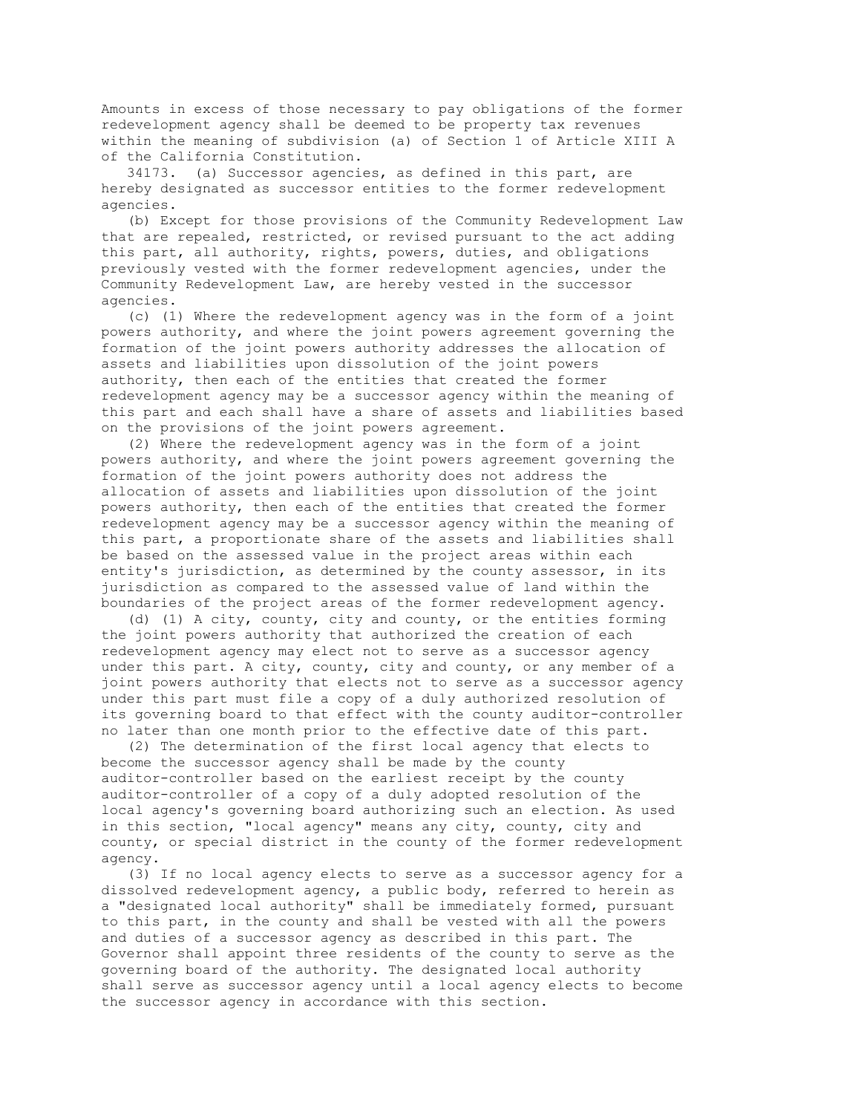Amounts in excess of those necessary to pay obligations of the former redevelopment agency shall be deemed to be property tax revenues within the meaning of subdivision (a) of Section 1 of Article XIII A of the California Constitution.

 34173. (a) Successor agencies, as defined in this part, are hereby designated as successor entities to the former redevelopment agencies.

 (b) Except for those provisions of the Community Redevelopment Law that are repealed, restricted, or revised pursuant to the act adding this part, all authority, rights, powers, duties, and obligations previously vested with the former redevelopment agencies, under the Community Redevelopment Law, are hereby vested in the successor agencies.

 (c) (1) Where the redevelopment agency was in the form of a joint powers authority, and where the joint powers agreement governing the formation of the joint powers authority addresses the allocation of assets and liabilities upon dissolution of the joint powers authority, then each of the entities that created the former redevelopment agency may be a successor agency within the meaning of this part and each shall have a share of assets and liabilities based on the provisions of the joint powers agreement.

 (2) Where the redevelopment agency was in the form of a joint powers authority, and where the joint powers agreement governing the formation of the joint powers authority does not address the allocation of assets and liabilities upon dissolution of the joint powers authority, then each of the entities that created the former redevelopment agency may be a successor agency within the meaning of this part, a proportionate share of the assets and liabilities shall be based on the assessed value in the project areas within each entity's jurisdiction, as determined by the county assessor, in its jurisdiction as compared to the assessed value of land within the boundaries of the project areas of the former redevelopment agency.

 (d) (1) A city, county, city and county, or the entities forming the joint powers authority that authorized the creation of each redevelopment agency may elect not to serve as a successor agency under this part. A city, county, city and county, or any member of a joint powers authority that elects not to serve as a successor agency under this part must file a copy of a duly authorized resolution of its governing board to that effect with the county auditor-controller no later than one month prior to the effective date of this part.

 (2) The determination of the first local agency that elects to become the successor agency shall be made by the county auditor-controller based on the earliest receipt by the county auditor-controller of a copy of a duly adopted resolution of the local agency's governing board authorizing such an election. As used in this section, "local agency" means any city, county, city and county, or special district in the county of the former redevelopment agency.

 (3) If no local agency elects to serve as a successor agency for a dissolved redevelopment agency, a public body, referred to herein as a "designated local authority" shall be immediately formed, pursuant to this part, in the county and shall be vested with all the powers and duties of a successor agency as described in this part. The Governor shall appoint three residents of the county to serve as the governing board of the authority. The designated local authority shall serve as successor agency until a local agency elects to become the successor agency in accordance with this section.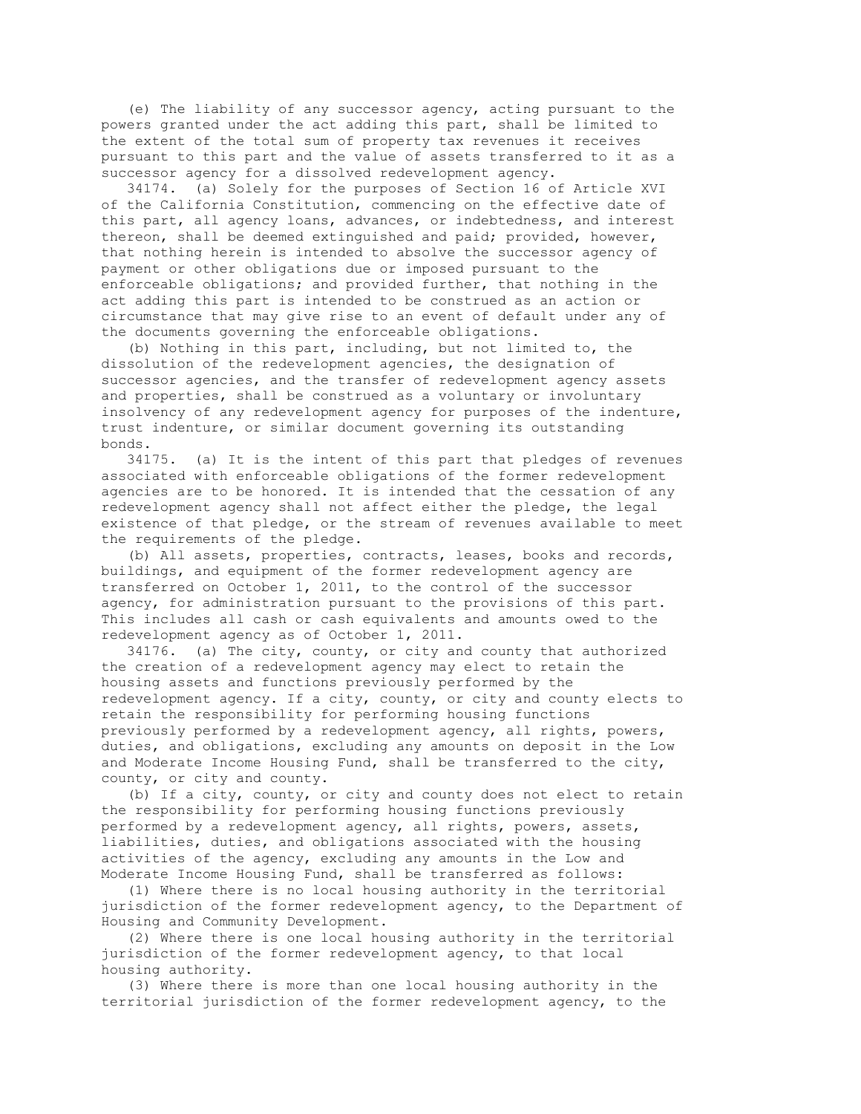(e) The liability of any successor agency, acting pursuant to the powers granted under the act adding this part, shall be limited to the extent of the total sum of property tax revenues it receives pursuant to this part and the value of assets transferred to it as a successor agency for a dissolved redevelopment agency.

 34174. (a) Solely for the purposes of Section 16 of Article XVI of the California Constitution, commencing on the effective date of this part, all agency loans, advances, or indebtedness, and interest thereon, shall be deemed extinguished and paid; provided, however, that nothing herein is intended to absolve the successor agency of payment or other obligations due or imposed pursuant to the enforceable obligations; and provided further, that nothing in the act adding this part is intended to be construed as an action or circumstance that may give rise to an event of default under any of the documents governing the enforceable obligations.

 (b) Nothing in this part, including, but not limited to, the dissolution of the redevelopment agencies, the designation of successor agencies, and the transfer of redevelopment agency assets and properties, shall be construed as a voluntary or involuntary insolvency of any redevelopment agency for purposes of the indenture, trust indenture, or similar document governing its outstanding bonds.

 34175. (a) It is the intent of this part that pledges of revenues associated with enforceable obligations of the former redevelopment agencies are to be honored. It is intended that the cessation of any redevelopment agency shall not affect either the pledge, the legal existence of that pledge, or the stream of revenues available to meet the requirements of the pledge.

 (b) All assets, properties, contracts, leases, books and records, buildings, and equipment of the former redevelopment agency are transferred on October 1, 2011, to the control of the successor agency, for administration pursuant to the provisions of this part. This includes all cash or cash equivalents and amounts owed to the redevelopment agency as of October 1, 2011.

 34176. (a) The city, county, or city and county that authorized the creation of a redevelopment agency may elect to retain the housing assets and functions previously performed by the redevelopment agency. If a city, county, or city and county elects to retain the responsibility for performing housing functions previously performed by a redevelopment agency, all rights, powers, duties, and obligations, excluding any amounts on deposit in the Low and Moderate Income Housing Fund, shall be transferred to the city, county, or city and county.

 (b) If a city, county, or city and county does not elect to retain the responsibility for performing housing functions previously performed by a redevelopment agency, all rights, powers, assets, liabilities, duties, and obligations associated with the housing activities of the agency, excluding any amounts in the Low and Moderate Income Housing Fund, shall be transferred as follows:

 (1) Where there is no local housing authority in the territorial jurisdiction of the former redevelopment agency, to the Department of Housing and Community Development.

 (2) Where there is one local housing authority in the territorial jurisdiction of the former redevelopment agency, to that local housing authority.

 (3) Where there is more than one local housing authority in the territorial jurisdiction of the former redevelopment agency, to the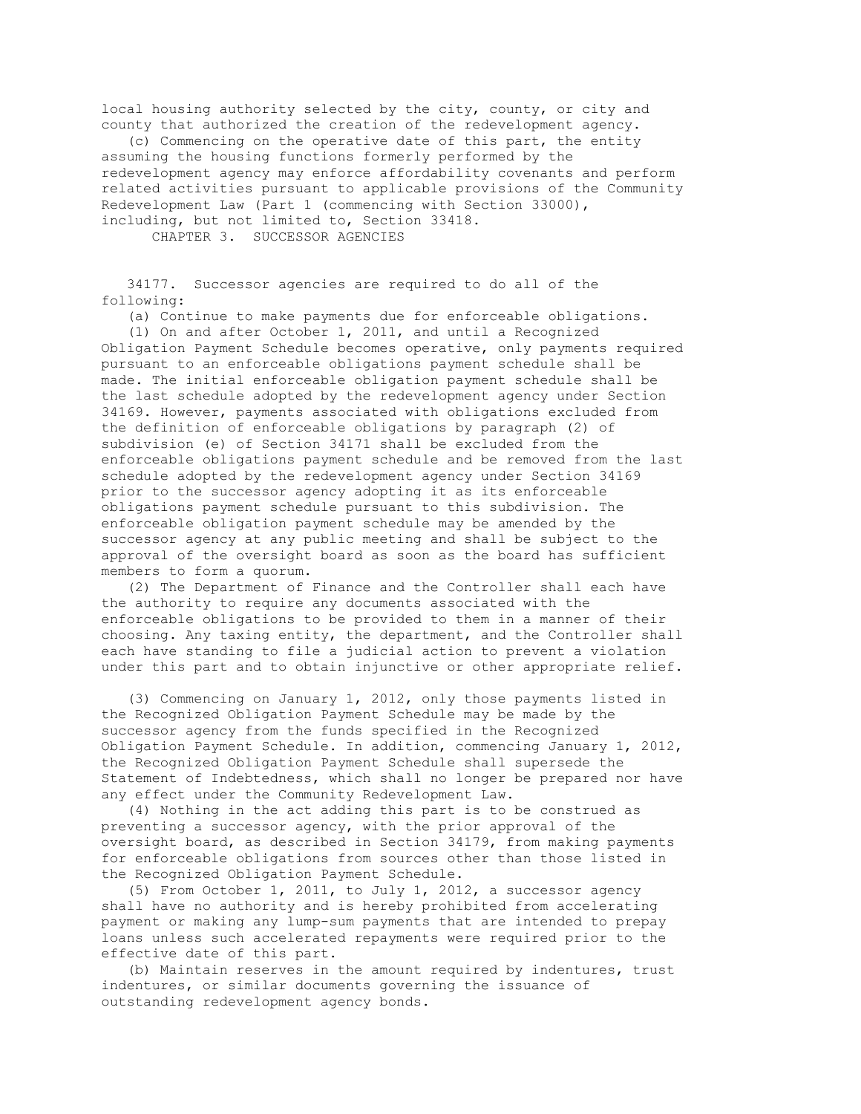local housing authority selected by the city, county, or city and county that authorized the creation of the redevelopment agency.

 (c) Commencing on the operative date of this part, the entity assuming the housing functions formerly performed by the redevelopment agency may enforce affordability covenants and perform related activities pursuant to applicable provisions of the Community Redevelopment Law (Part 1 (commencing with Section 33000), including, but not limited to, Section 33418.

CHAPTER 3. SUCCESSOR AGENCIES

 34177. Successor agencies are required to do all of the following:

(a) Continue to make payments due for enforceable obligations.

 (1) On and after October 1, 2011, and until a Recognized Obligation Payment Schedule becomes operative, only payments required pursuant to an enforceable obligations payment schedule shall be made. The initial enforceable obligation payment schedule shall be the last schedule adopted by the redevelopment agency under Section 34169. However, payments associated with obligations excluded from the definition of enforceable obligations by paragraph (2) of subdivision (e) of Section 34171 shall be excluded from the enforceable obligations payment schedule and be removed from the last schedule adopted by the redevelopment agency under Section 34169 prior to the successor agency adopting it as its enforceable obligations payment schedule pursuant to this subdivision. The enforceable obligation payment schedule may be amended by the successor agency at any public meeting and shall be subject to the approval of the oversight board as soon as the board has sufficient members to form a quorum.

 (2) The Department of Finance and the Controller shall each have the authority to require any documents associated with the enforceable obligations to be provided to them in a manner of their choosing. Any taxing entity, the department, and the Controller shall each have standing to file a judicial action to prevent a violation under this part and to obtain injunctive or other appropriate relief.

 (3) Commencing on January 1, 2012, only those payments listed in the Recognized Obligation Payment Schedule may be made by the successor agency from the funds specified in the Recognized Obligation Payment Schedule. In addition, commencing January 1, 2012, the Recognized Obligation Payment Schedule shall supersede the Statement of Indebtedness, which shall no longer be prepared nor have any effect under the Community Redevelopment Law.

 (4) Nothing in the act adding this part is to be construed as preventing a successor agency, with the prior approval of the oversight board, as described in Section 34179, from making payments for enforceable obligations from sources other than those listed in the Recognized Obligation Payment Schedule.

 (5) From October 1, 2011, to July 1, 2012, a successor agency shall have no authority and is hereby prohibited from accelerating payment or making any lump-sum payments that are intended to prepay loans unless such accelerated repayments were required prior to the effective date of this part.

 (b) Maintain reserves in the amount required by indentures, trust indentures, or similar documents governing the issuance of outstanding redevelopment agency bonds.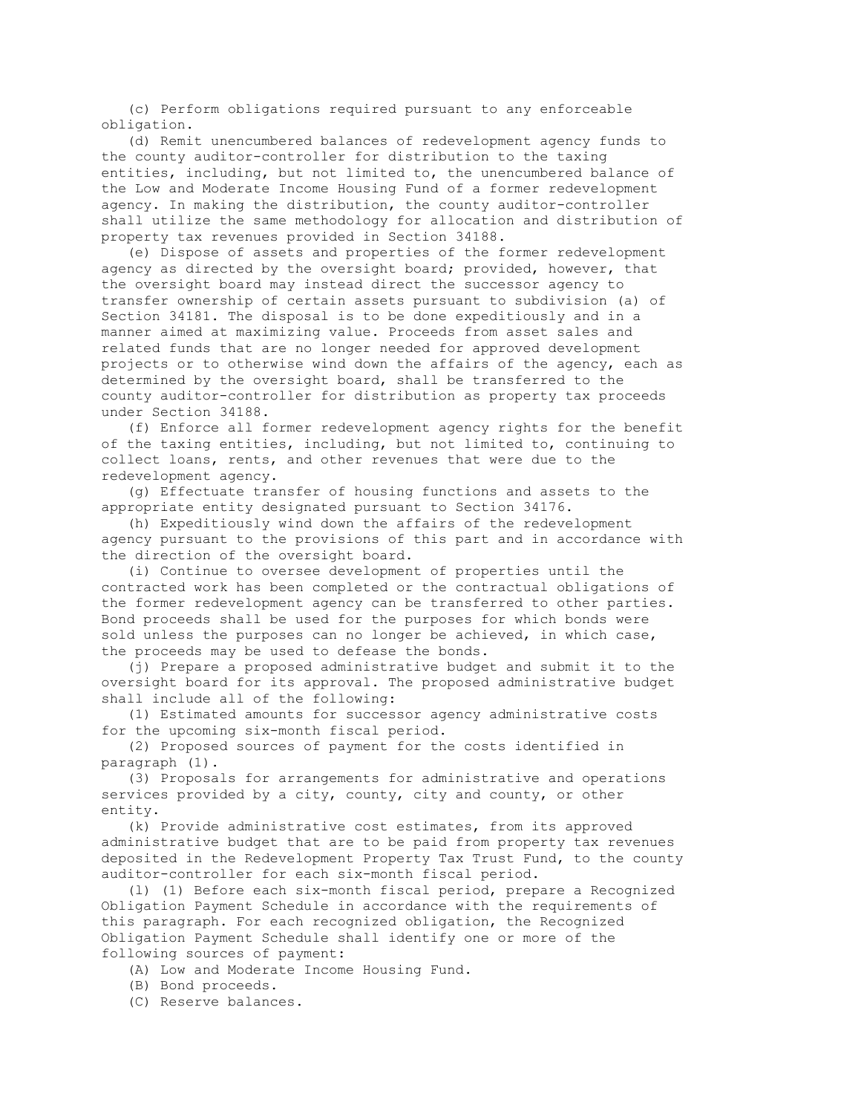(c) Perform obligations required pursuant to any enforceable obligation.

 (d) Remit unencumbered balances of redevelopment agency funds to the county auditor-controller for distribution to the taxing entities, including, but not limited to, the unencumbered balance of the Low and Moderate Income Housing Fund of a former redevelopment agency. In making the distribution, the county auditor-controller shall utilize the same methodology for allocation and distribution of property tax revenues provided in Section 34188.

 (e) Dispose of assets and properties of the former redevelopment agency as directed by the oversight board; provided, however, that the oversight board may instead direct the successor agency to transfer ownership of certain assets pursuant to subdivision (a) of Section 34181. The disposal is to be done expeditiously and in a manner aimed at maximizing value. Proceeds from asset sales and related funds that are no longer needed for approved development projects or to otherwise wind down the affairs of the agency, each as determined by the oversight board, shall be transferred to the county auditor-controller for distribution as property tax proceeds under Section 34188.

 (f) Enforce all former redevelopment agency rights for the benefit of the taxing entities, including, but not limited to, continuing to collect loans, rents, and other revenues that were due to the redevelopment agency.

 (g) Effectuate transfer of housing functions and assets to the appropriate entity designated pursuant to Section 34176.

 (h) Expeditiously wind down the affairs of the redevelopment agency pursuant to the provisions of this part and in accordance with the direction of the oversight board.

 (i) Continue to oversee development of properties until the contracted work has been completed or the contractual obligations of the former redevelopment agency can be transferred to other parties. Bond proceeds shall be used for the purposes for which bonds were sold unless the purposes can no longer be achieved, in which case, the proceeds may be used to defease the bonds.

 (j) Prepare a proposed administrative budget and submit it to the oversight board for its approval. The proposed administrative budget shall include all of the following:

 (1) Estimated amounts for successor agency administrative costs for the upcoming six-month fiscal period.

 (2) Proposed sources of payment for the costs identified in paragraph (1).

 (3) Proposals for arrangements for administrative and operations services provided by a city, county, city and county, or other entity.

 (k) Provide administrative cost estimates, from its approved administrative budget that are to be paid from property tax revenues deposited in the Redevelopment Property Tax Trust Fund, to the county auditor-controller for each six-month fiscal period.

 (l) (1) Before each six-month fiscal period, prepare a Recognized Obligation Payment Schedule in accordance with the requirements of this paragraph. For each recognized obligation, the Recognized Obligation Payment Schedule shall identify one or more of the following sources of payment:

(A) Low and Moderate Income Housing Fund.

(B) Bond proceeds.

(C) Reserve balances.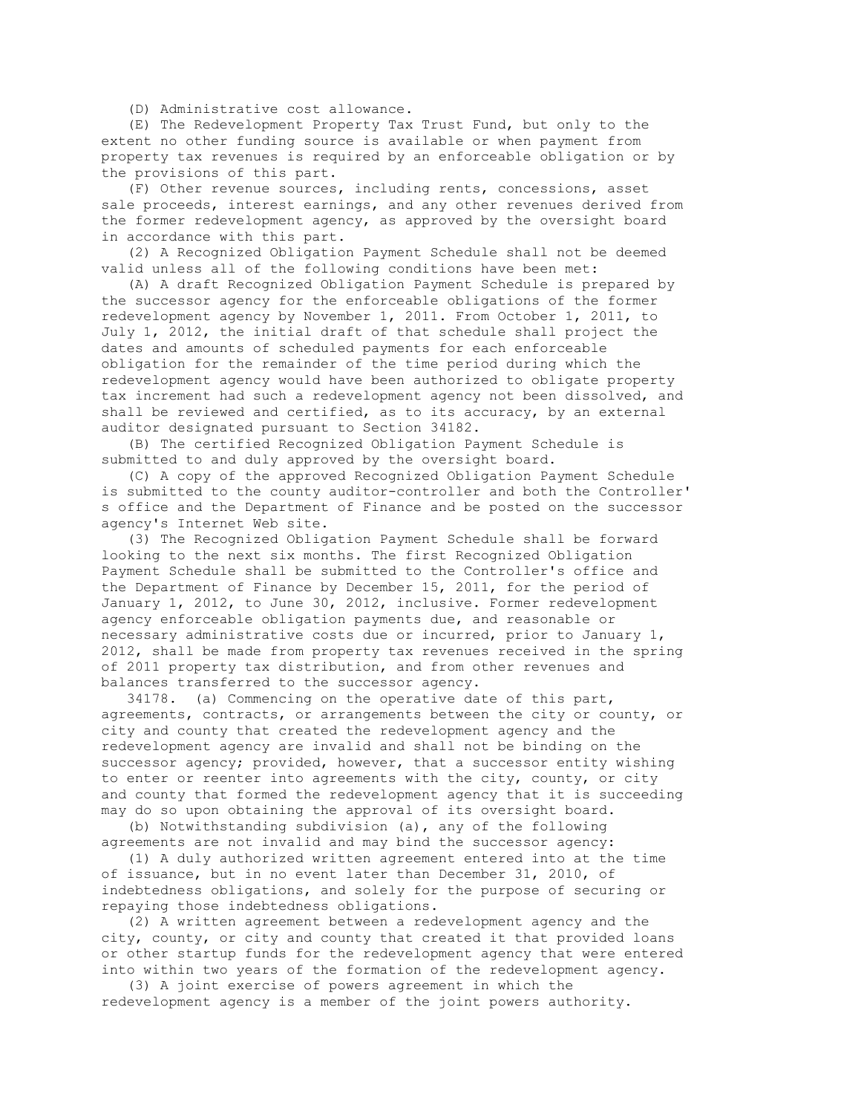(D) Administrative cost allowance.

 (E) The Redevelopment Property Tax Trust Fund, but only to the extent no other funding source is available or when payment from property tax revenues is required by an enforceable obligation or by the provisions of this part.

 (F) Other revenue sources, including rents, concessions, asset sale proceeds, interest earnings, and any other revenues derived from the former redevelopment agency, as approved by the oversight board in accordance with this part.

 (2) A Recognized Obligation Payment Schedule shall not be deemed valid unless all of the following conditions have been met:

 (A) A draft Recognized Obligation Payment Schedule is prepared by the successor agency for the enforceable obligations of the former redevelopment agency by November 1, 2011. From October 1, 2011, to July 1, 2012, the initial draft of that schedule shall project the dates and amounts of scheduled payments for each enforceable obligation for the remainder of the time period during which the redevelopment agency would have been authorized to obligate property tax increment had such a redevelopment agency not been dissolved, and shall be reviewed and certified, as to its accuracy, by an external auditor designated pursuant to Section 34182.

 (B) The certified Recognized Obligation Payment Schedule is submitted to and duly approved by the oversight board.

 (C) A copy of the approved Recognized Obligation Payment Schedule is submitted to the county auditor-controller and both the Controller' s office and the Department of Finance and be posted on the successor agency's Internet Web site.

 (3) The Recognized Obligation Payment Schedule shall be forward looking to the next six months. The first Recognized Obligation Payment Schedule shall be submitted to the Controller's office and the Department of Finance by December 15, 2011, for the period of January 1, 2012, to June 30, 2012, inclusive. Former redevelopment agency enforceable obligation payments due, and reasonable or necessary administrative costs due or incurred, prior to January 1, 2012, shall be made from property tax revenues received in the spring of 2011 property tax distribution, and from other revenues and balances transferred to the successor agency.

 34178. (a) Commencing on the operative date of this part, agreements, contracts, or arrangements between the city or county, or city and county that created the redevelopment agency and the redevelopment agency are invalid and shall not be binding on the successor agency; provided, however, that a successor entity wishing to enter or reenter into agreements with the city, county, or city and county that formed the redevelopment agency that it is succeeding may do so upon obtaining the approval of its oversight board.

 (b) Notwithstanding subdivision (a), any of the following agreements are not invalid and may bind the successor agency:

 (1) A duly authorized written agreement entered into at the time of issuance, but in no event later than December 31, 2010, of indebtedness obligations, and solely for the purpose of securing or repaying those indebtedness obligations.

 (2) A written agreement between a redevelopment agency and the city, county, or city and county that created it that provided loans or other startup funds for the redevelopment agency that were entered into within two years of the formation of the redevelopment agency.

 (3) A joint exercise of powers agreement in which the redevelopment agency is a member of the joint powers authority.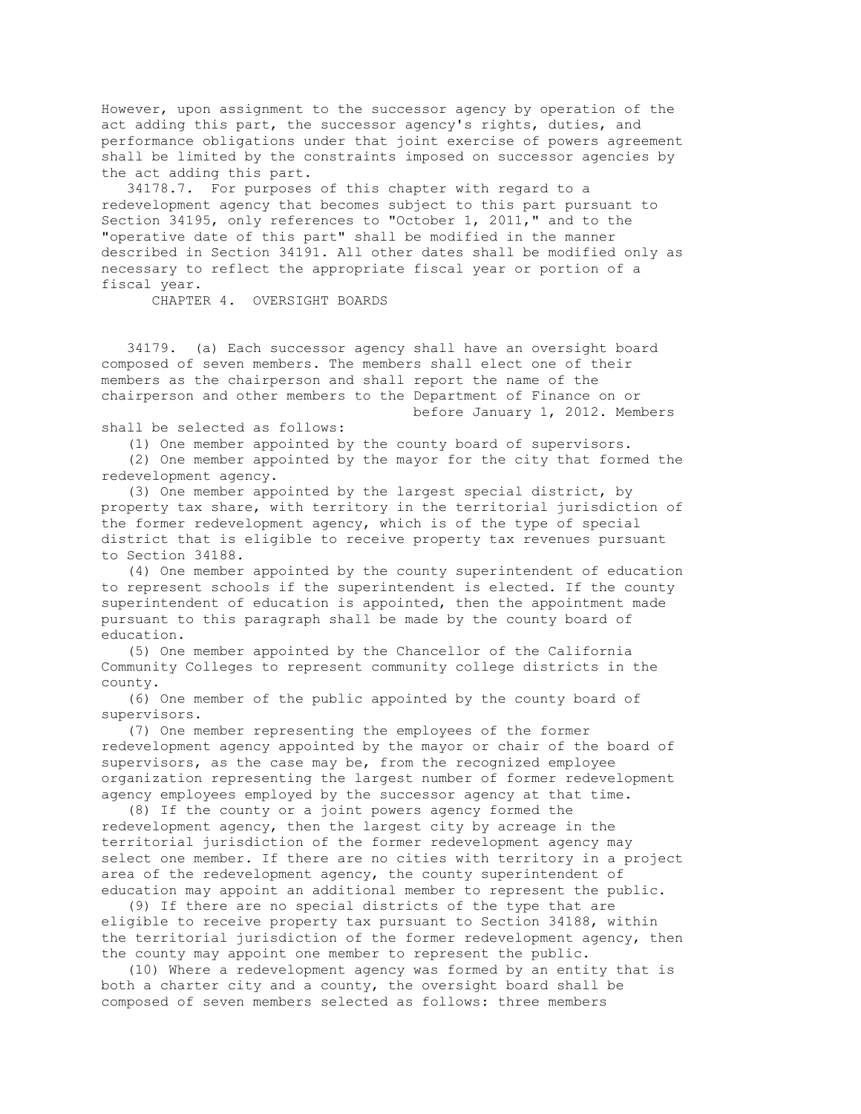However, upon assignment to the successor agency by operation of the act adding this part, the successor agency's rights, duties, and performance obligations under that joint exercise of powers agreement shall be limited by the constraints imposed on successor agencies by the act adding this part.

 34178.7. For purposes of this chapter with regard to a redevelopment agency that becomes subject to this part pursuant to Section 34195, only references to "October 1, 2011," and to the "operative date of this part" shall be modified in the manner described in Section 34191. All other dates shall be modified only as necessary to reflect the appropriate fiscal year or portion of a fiscal year.

CHAPTER 4. OVERSIGHT BOARDS

 34179. (a) Each successor agency shall have an oversight board composed of seven members. The members shall elect one of their members as the chairperson and shall report the name of the chairperson and other members to the Department of Finance on or before January 1, 2012. Members

shall be selected as follows:

(1) One member appointed by the county board of supervisors.

 (2) One member appointed by the mayor for the city that formed the redevelopment agency.

 (3) One member appointed by the largest special district, by property tax share, with territory in the territorial jurisdiction of the former redevelopment agency, which is of the type of special district that is eligible to receive property tax revenues pursuant to Section 34188.

 (4) One member appointed by the county superintendent of education to represent schools if the superintendent is elected. If the county superintendent of education is appointed, then the appointment made pursuant to this paragraph shall be made by the county board of education.

 (5) One member appointed by the Chancellor of the California Community Colleges to represent community college districts in the county.

 (6) One member of the public appointed by the county board of supervisors.

 (7) One member representing the employees of the former redevelopment agency appointed by the mayor or chair of the board of supervisors, as the case may be, from the recognized employee organization representing the largest number of former redevelopment agency employees employed by the successor agency at that time.

 (8) If the county or a joint powers agency formed the redevelopment agency, then the largest city by acreage in the territorial jurisdiction of the former redevelopment agency may select one member. If there are no cities with territory in a project area of the redevelopment agency, the county superintendent of education may appoint an additional member to represent the public.

 (9) If there are no special districts of the type that are eligible to receive property tax pursuant to Section 34188, within the territorial jurisdiction of the former redevelopment agency, then the county may appoint one member to represent the public.

 (10) Where a redevelopment agency was formed by an entity that is both a charter city and a county, the oversight board shall be composed of seven members selected as follows: three members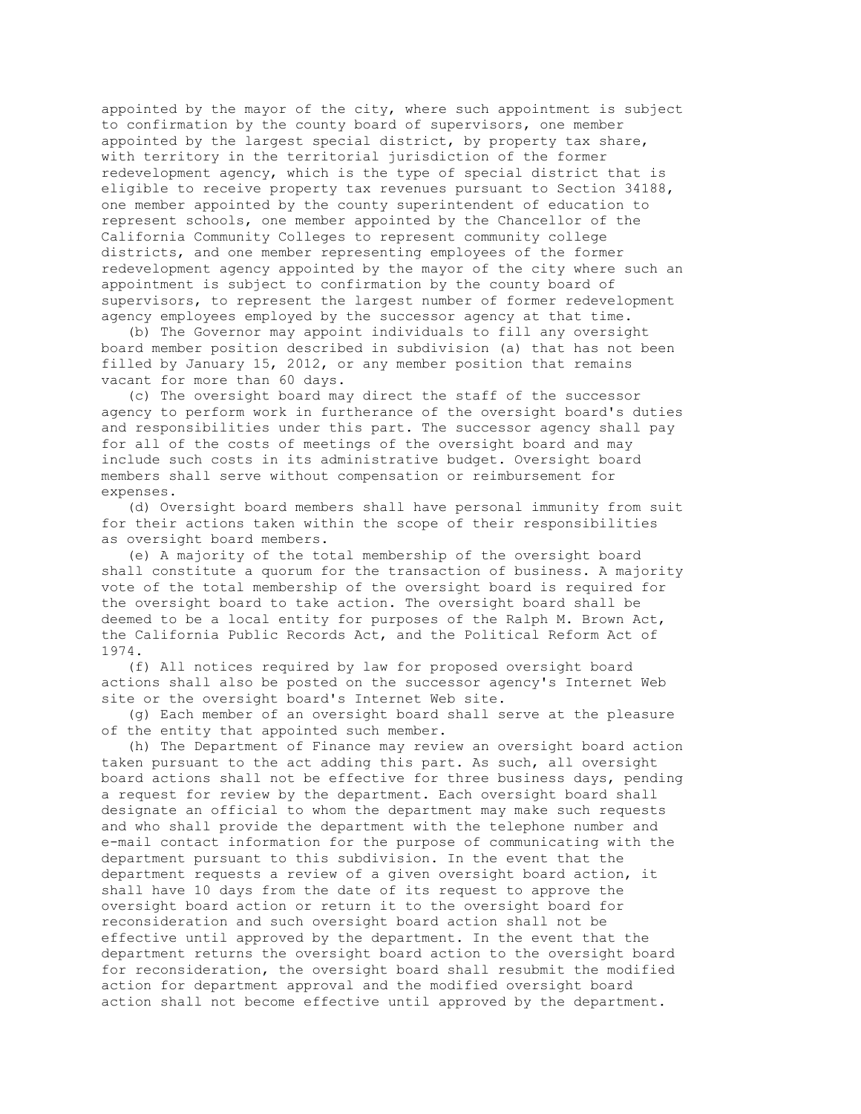appointed by the mayor of the city, where such appointment is subject to confirmation by the county board of supervisors, one member appointed by the largest special district, by property tax share, with territory in the territorial jurisdiction of the former redevelopment agency, which is the type of special district that is eligible to receive property tax revenues pursuant to Section 34188, one member appointed by the county superintendent of education to represent schools, one member appointed by the Chancellor of the California Community Colleges to represent community college districts, and one member representing employees of the former redevelopment agency appointed by the mayor of the city where such an appointment is subject to confirmation by the county board of supervisors, to represent the largest number of former redevelopment agency employees employed by the successor agency at that time.

 (b) The Governor may appoint individuals to fill any oversight board member position described in subdivision (a) that has not been filled by January 15, 2012, or any member position that remains vacant for more than 60 days.

 (c) The oversight board may direct the staff of the successor agency to perform work in furtherance of the oversight board's duties and responsibilities under this part. The successor agency shall pay for all of the costs of meetings of the oversight board and may include such costs in its administrative budget. Oversight board members shall serve without compensation or reimbursement for expenses.

 (d) Oversight board members shall have personal immunity from suit for their actions taken within the scope of their responsibilities as oversight board members.

 (e) A majority of the total membership of the oversight board shall constitute a quorum for the transaction of business. A majority vote of the total membership of the oversight board is required for the oversight board to take action. The oversight board shall be deemed to be a local entity for purposes of the Ralph M. Brown Act, the California Public Records Act, and the Political Reform Act of 1974.

 (f) All notices required by law for proposed oversight board actions shall also be posted on the successor agency's Internet Web site or the oversight board's Internet Web site.

 (g) Each member of an oversight board shall serve at the pleasure of the entity that appointed such member.

 (h) The Department of Finance may review an oversight board action taken pursuant to the act adding this part. As such, all oversight board actions shall not be effective for three business days, pending a request for review by the department. Each oversight board shall designate an official to whom the department may make such requests and who shall provide the department with the telephone number and e-mail contact information for the purpose of communicating with the department pursuant to this subdivision. In the event that the department requests a review of a given oversight board action, it shall have 10 days from the date of its request to approve the oversight board action or return it to the oversight board for reconsideration and such oversight board action shall not be effective until approved by the department. In the event that the department returns the oversight board action to the oversight board for reconsideration, the oversight board shall resubmit the modified action for department approval and the modified oversight board action shall not become effective until approved by the department.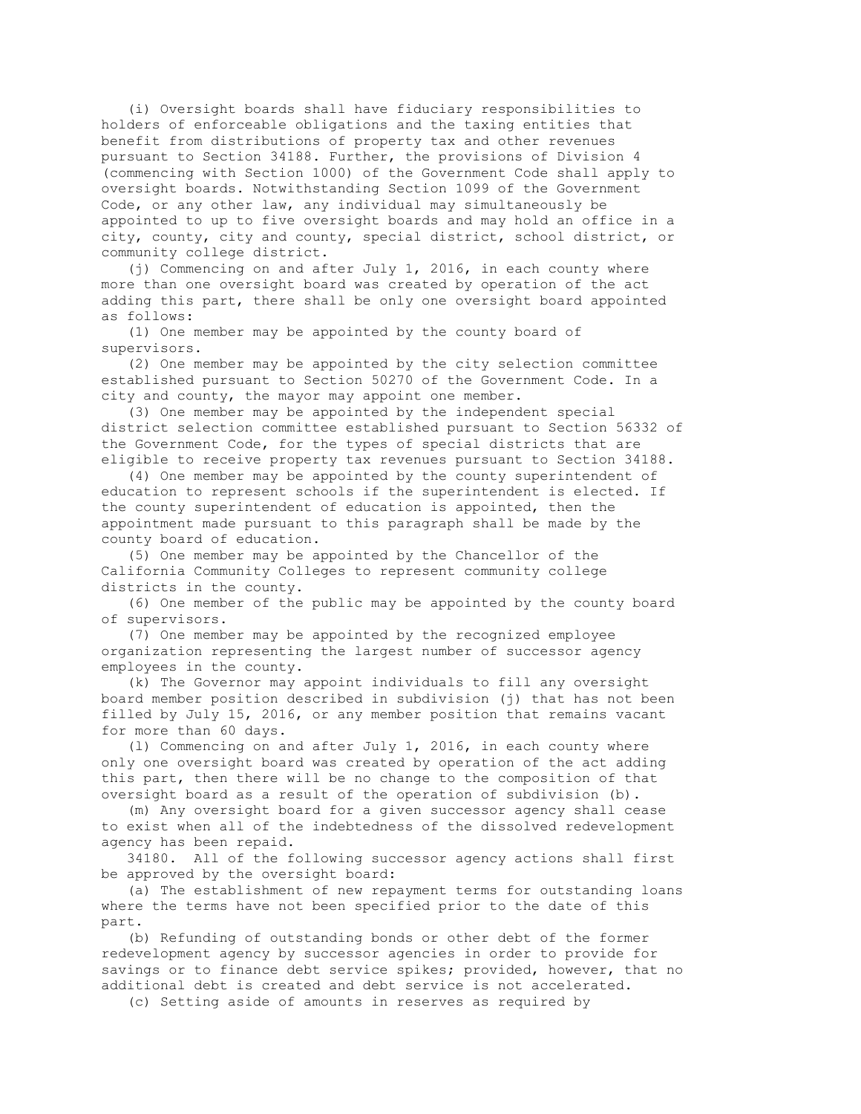(i) Oversight boards shall have fiduciary responsibilities to holders of enforceable obligations and the taxing entities that benefit from distributions of property tax and other revenues pursuant to Section 34188. Further, the provisions of Division 4 (commencing with Section 1000) of the Government Code shall apply to oversight boards. Notwithstanding Section 1099 of the Government Code, or any other law, any individual may simultaneously be appointed to up to five oversight boards and may hold an office in a city, county, city and county, special district, school district, or community college district.

 (j) Commencing on and after July 1, 2016, in each county where more than one oversight board was created by operation of the act adding this part, there shall be only one oversight board appointed as follows:

 (1) One member may be appointed by the county board of supervisors.

 (2) One member may be appointed by the city selection committee established pursuant to Section 50270 of the Government Code. In a city and county, the mayor may appoint one member.

 (3) One member may be appointed by the independent special district selection committee established pursuant to Section 56332 of the Government Code, for the types of special districts that are eligible to receive property tax revenues pursuant to Section 34188.

 (4) One member may be appointed by the county superintendent of education to represent schools if the superintendent is elected. If the county superintendent of education is appointed, then the appointment made pursuant to this paragraph shall be made by the county board of education.

 (5) One member may be appointed by the Chancellor of the California Community Colleges to represent community college districts in the county.

 (6) One member of the public may be appointed by the county board of supervisors.

 (7) One member may be appointed by the recognized employee organization representing the largest number of successor agency employees in the county.

 (k) The Governor may appoint individuals to fill any oversight board member position described in subdivision (j) that has not been filled by July 15, 2016, or any member position that remains vacant for more than 60 days.

 (l) Commencing on and after July 1, 2016, in each county where only one oversight board was created by operation of the act adding this part, then there will be no change to the composition of that oversight board as a result of the operation of subdivision (b).

 (m) Any oversight board for a given successor agency shall cease to exist when all of the indebtedness of the dissolved redevelopment agency has been repaid.

 34180. All of the following successor agency actions shall first be approved by the oversight board:

 (a) The establishment of new repayment terms for outstanding loans where the terms have not been specified prior to the date of this part.

 (b) Refunding of outstanding bonds or other debt of the former redevelopment agency by successor agencies in order to provide for savings or to finance debt service spikes; provided, however, that no additional debt is created and debt service is not accelerated.

(c) Setting aside of amounts in reserves as required by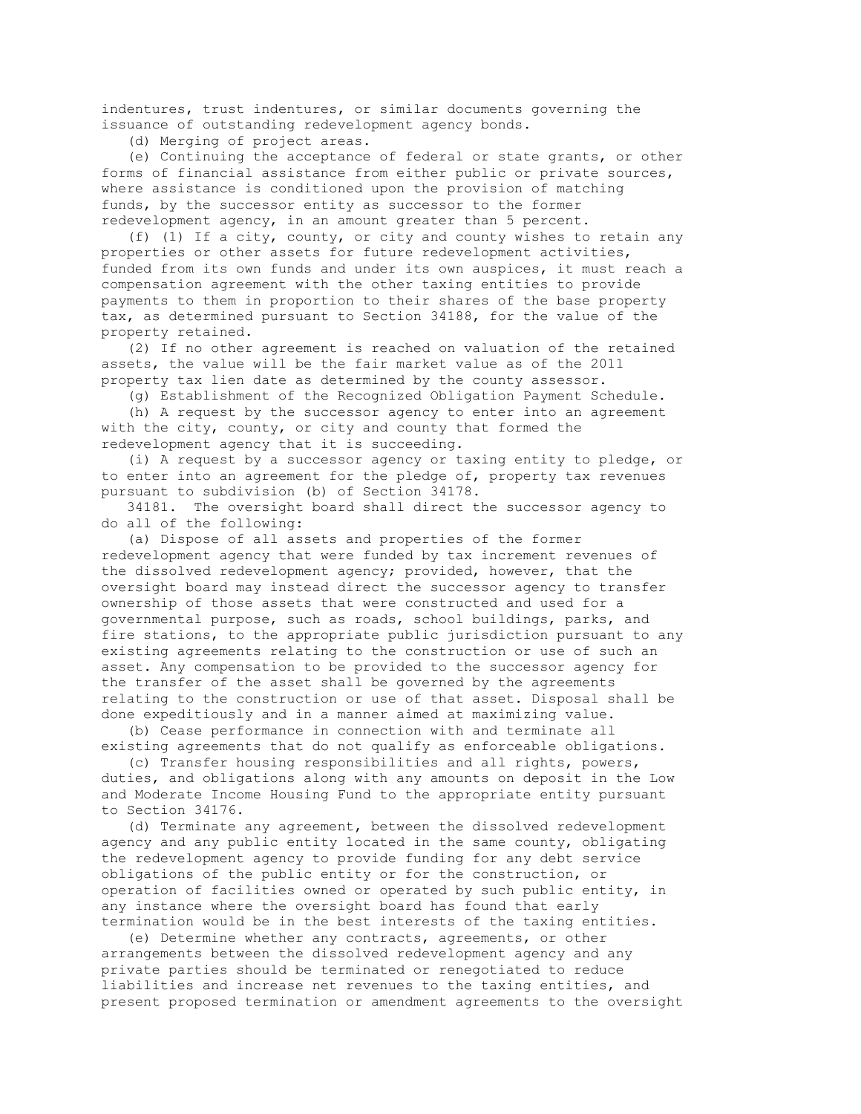indentures, trust indentures, or similar documents governing the issuance of outstanding redevelopment agency bonds.

(d) Merging of project areas.

 (e) Continuing the acceptance of federal or state grants, or other forms of financial assistance from either public or private sources, where assistance is conditioned upon the provision of matching funds, by the successor entity as successor to the former redevelopment agency, in an amount greater than 5 percent.

 (f) (1) If a city, county, or city and county wishes to retain any properties or other assets for future redevelopment activities, funded from its own funds and under its own auspices, it must reach a compensation agreement with the other taxing entities to provide payments to them in proportion to their shares of the base property tax, as determined pursuant to Section 34188, for the value of the property retained.

 (2) If no other agreement is reached on valuation of the retained assets, the value will be the fair market value as of the 2011 property tax lien date as determined by the county assessor.

(g) Establishment of the Recognized Obligation Payment Schedule.

 (h) A request by the successor agency to enter into an agreement with the city, county, or city and county that formed the redevelopment agency that it is succeeding.

 (i) A request by a successor agency or taxing entity to pledge, or to enter into an agreement for the pledge of, property tax revenues pursuant to subdivision (b) of Section 34178.

 34181. The oversight board shall direct the successor agency to do all of the following:

 (a) Dispose of all assets and properties of the former redevelopment agency that were funded by tax increment revenues of the dissolved redevelopment agency; provided, however, that the oversight board may instead direct the successor agency to transfer ownership of those assets that were constructed and used for a governmental purpose, such as roads, school buildings, parks, and fire stations, to the appropriate public jurisdiction pursuant to any existing agreements relating to the construction or use of such an asset. Any compensation to be provided to the successor agency for the transfer of the asset shall be governed by the agreements relating to the construction or use of that asset. Disposal shall be done expeditiously and in a manner aimed at maximizing value.

 (b) Cease performance in connection with and terminate all existing agreements that do not qualify as enforceable obligations.

 (c) Transfer housing responsibilities and all rights, powers, duties, and obligations along with any amounts on deposit in the Low and Moderate Income Housing Fund to the appropriate entity pursuant to Section 34176.

 (d) Terminate any agreement, between the dissolved redevelopment agency and any public entity located in the same county, obligating the redevelopment agency to provide funding for any debt service obligations of the public entity or for the construction, or operation of facilities owned or operated by such public entity, in any instance where the oversight board has found that early termination would be in the best interests of the taxing entities.

 (e) Determine whether any contracts, agreements, or other arrangements between the dissolved redevelopment agency and any private parties should be terminated or renegotiated to reduce liabilities and increase net revenues to the taxing entities, and present proposed termination or amendment agreements to the oversight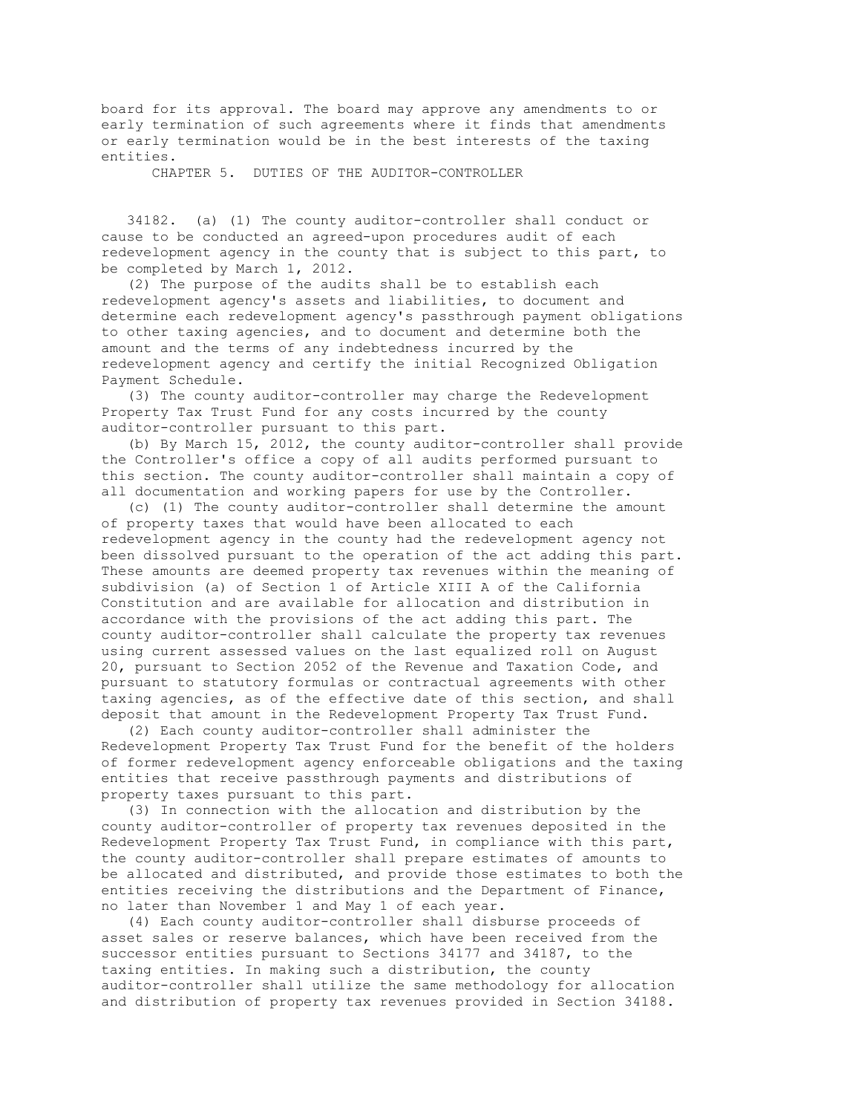board for its approval. The board may approve any amendments to or early termination of such agreements where it finds that amendments or early termination would be in the best interests of the taxing entities.

CHAPTER 5. DUTIES OF THE AUDITOR-CONTROLLER

 34182. (a) (1) The county auditor-controller shall conduct or cause to be conducted an agreed-upon procedures audit of each redevelopment agency in the county that is subject to this part, to be completed by March 1, 2012.

 (2) The purpose of the audits shall be to establish each redevelopment agency's assets and liabilities, to document and determine each redevelopment agency's passthrough payment obligations to other taxing agencies, and to document and determine both the amount and the terms of any indebtedness incurred by the redevelopment agency and certify the initial Recognized Obligation Payment Schedule.

 (3) The county auditor-controller may charge the Redevelopment Property Tax Trust Fund for any costs incurred by the county auditor-controller pursuant to this part.

 (b) By March 15, 2012, the county auditor-controller shall provide the Controller's office a copy of all audits performed pursuant to this section. The county auditor-controller shall maintain a copy of all documentation and working papers for use by the Controller.

 (c) (1) The county auditor-controller shall determine the amount of property taxes that would have been allocated to each redevelopment agency in the county had the redevelopment agency not been dissolved pursuant to the operation of the act adding this part. These amounts are deemed property tax revenues within the meaning of subdivision (a) of Section 1 of Article XIII A of the California Constitution and are available for allocation and distribution in accordance with the provisions of the act adding this part. The county auditor-controller shall calculate the property tax revenues using current assessed values on the last equalized roll on August 20, pursuant to Section 2052 of the Revenue and Taxation Code, and pursuant to statutory formulas or contractual agreements with other taxing agencies, as of the effective date of this section, and shall deposit that amount in the Redevelopment Property Tax Trust Fund.

 (2) Each county auditor-controller shall administer the Redevelopment Property Tax Trust Fund for the benefit of the holders of former redevelopment agency enforceable obligations and the taxing entities that receive passthrough payments and distributions of property taxes pursuant to this part.

 (3) In connection with the allocation and distribution by the county auditor-controller of property tax revenues deposited in the Redevelopment Property Tax Trust Fund, in compliance with this part, the county auditor-controller shall prepare estimates of amounts to be allocated and distributed, and provide those estimates to both the entities receiving the distributions and the Department of Finance, no later than November 1 and May 1 of each year.

 (4) Each county auditor-controller shall disburse proceeds of asset sales or reserve balances, which have been received from the successor entities pursuant to Sections 34177 and 34187, to the taxing entities. In making such a distribution, the county auditor-controller shall utilize the same methodology for allocation and distribution of property tax revenues provided in Section 34188.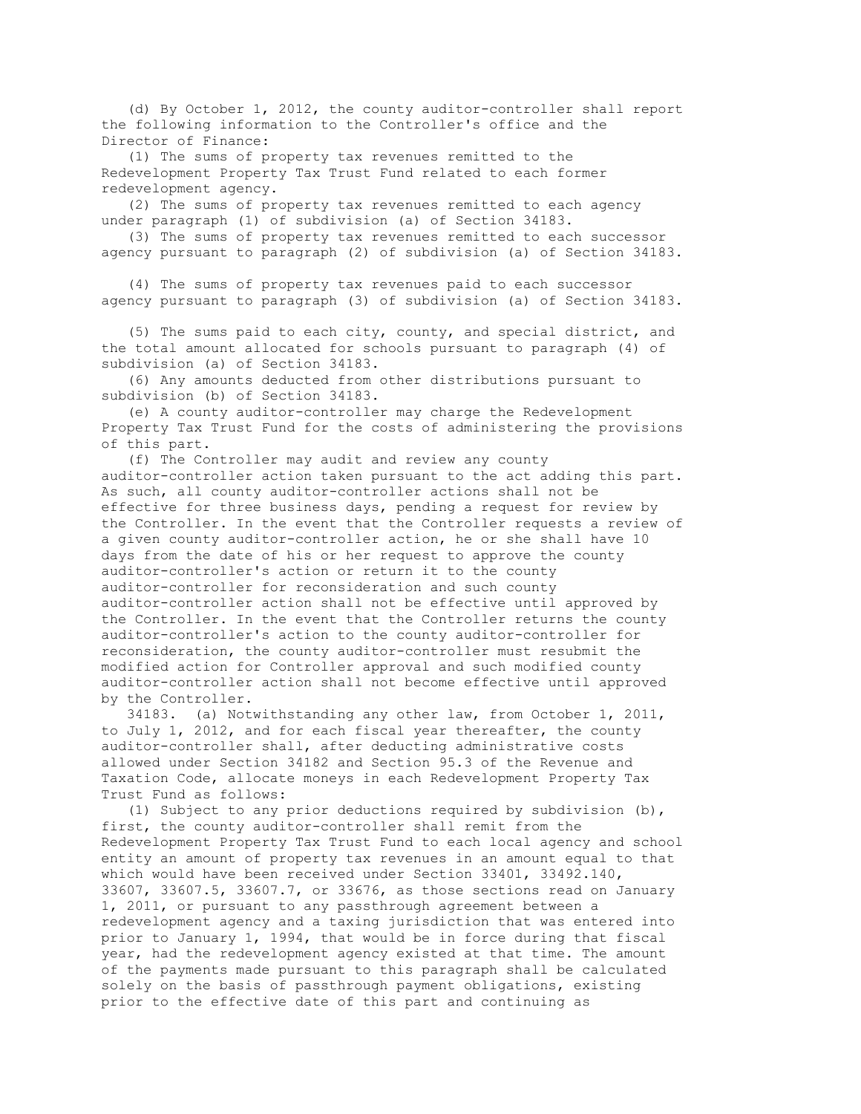(d) By October 1, 2012, the county auditor-controller shall report the following information to the Controller's office and the Director of Finance:

 (1) The sums of property tax revenues remitted to the Redevelopment Property Tax Trust Fund related to each former redevelopment agency.

 (2) The sums of property tax revenues remitted to each agency under paragraph (1) of subdivision (a) of Section 34183.

 (3) The sums of property tax revenues remitted to each successor agency pursuant to paragraph (2) of subdivision (a) of Section 34183.

 (4) The sums of property tax revenues paid to each successor agency pursuant to paragraph (3) of subdivision (a) of Section 34183.

 (5) The sums paid to each city, county, and special district, and the total amount allocated for schools pursuant to paragraph (4) of subdivision (a) of Section 34183.

 (6) Any amounts deducted from other distributions pursuant to subdivision (b) of Section 34183.

 (e) A county auditor-controller may charge the Redevelopment Property Tax Trust Fund for the costs of administering the provisions of this part.

 (f) The Controller may audit and review any county auditor-controller action taken pursuant to the act adding this part. As such, all county auditor-controller actions shall not be effective for three business days, pending a request for review by the Controller. In the event that the Controller requests a review of a given county auditor-controller action, he or she shall have 10 days from the date of his or her request to approve the county auditor-controller's action or return it to the county auditor-controller for reconsideration and such county auditor-controller action shall not be effective until approved by the Controller. In the event that the Controller returns the county auditor-controller's action to the county auditor-controller for reconsideration, the county auditor-controller must resubmit the modified action for Controller approval and such modified county auditor-controller action shall not become effective until approved by the Controller.

 34183. (a) Notwithstanding any other law, from October 1, 2011, to July 1, 2012, and for each fiscal year thereafter, the county auditor-controller shall, after deducting administrative costs allowed under Section 34182 and Section 95.3 of the Revenue and Taxation Code, allocate moneys in each Redevelopment Property Tax Trust Fund as follows:

 (1) Subject to any prior deductions required by subdivision (b), first, the county auditor-controller shall remit from the Redevelopment Property Tax Trust Fund to each local agency and school entity an amount of property tax revenues in an amount equal to that which would have been received under Section 33401, 33492.140, 33607, 33607.5, 33607.7, or 33676, as those sections read on January 1, 2011, or pursuant to any passthrough agreement between a redevelopment agency and a taxing jurisdiction that was entered into prior to January 1, 1994, that would be in force during that fiscal year, had the redevelopment agency existed at that time. The amount of the payments made pursuant to this paragraph shall be calculated solely on the basis of passthrough payment obligations, existing prior to the effective date of this part and continuing as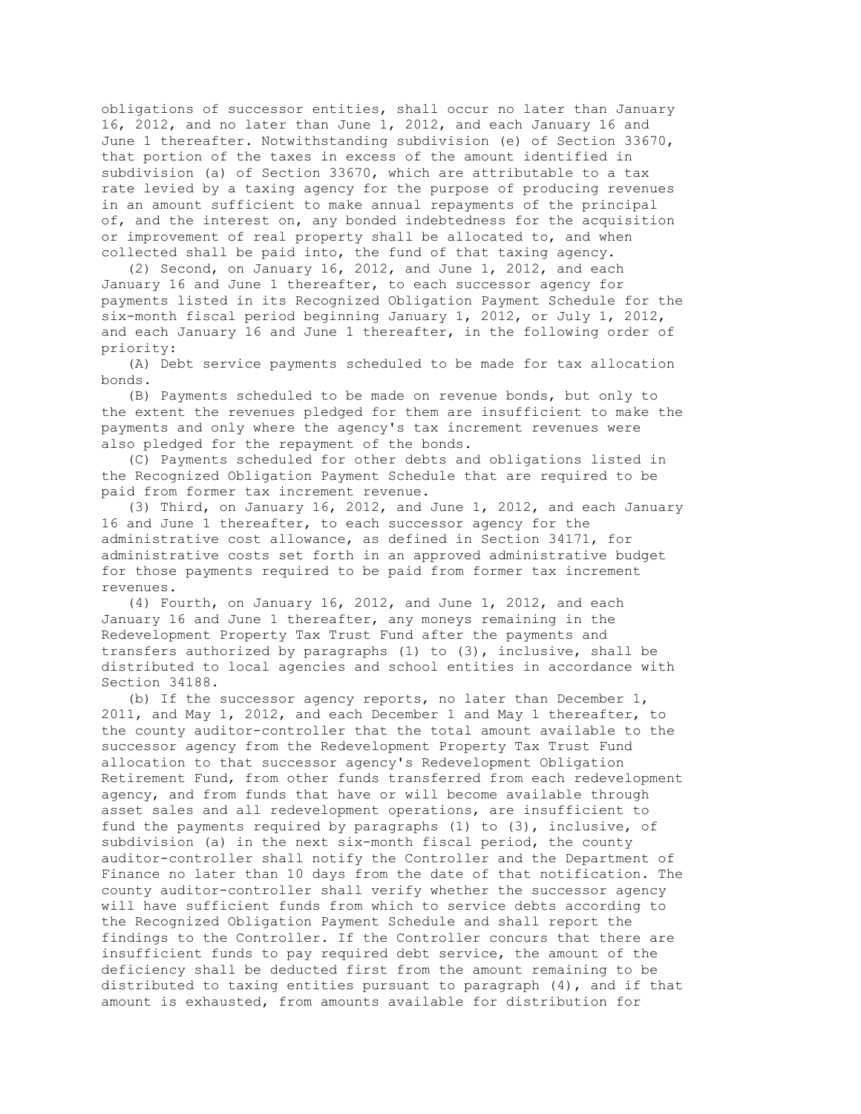obligations of successor entities, shall occur no later than January 16, 2012, and no later than June 1, 2012, and each January 16 and June 1 thereafter. Notwithstanding subdivision (e) of Section 33670, that portion of the taxes in excess of the amount identified in subdivision (a) of Section 33670, which are attributable to a tax rate levied by a taxing agency for the purpose of producing revenues in an amount sufficient to make annual repayments of the principal of, and the interest on, any bonded indebtedness for the acquisition or improvement of real property shall be allocated to, and when collected shall be paid into, the fund of that taxing agency.

 (2) Second, on January 16, 2012, and June 1, 2012, and each January 16 and June 1 thereafter, to each successor agency for payments listed in its Recognized Obligation Payment Schedule for the six-month fiscal period beginning January 1, 2012, or July 1, 2012, and each January 16 and June 1 thereafter, in the following order of priority:

 (A) Debt service payments scheduled to be made for tax allocation bonds.

 (B) Payments scheduled to be made on revenue bonds, but only to the extent the revenues pledged for them are insufficient to make the payments and only where the agency's tax increment revenues were also pledged for the repayment of the bonds.

 (C) Payments scheduled for other debts and obligations listed in the Recognized Obligation Payment Schedule that are required to be paid from former tax increment revenue.

 (3) Third, on January 16, 2012, and June 1, 2012, and each January 16 and June 1 thereafter, to each successor agency for the administrative cost allowance, as defined in Section 34171, for administrative costs set forth in an approved administrative budget for those payments required to be paid from former tax increment revenues.

 (4) Fourth, on January 16, 2012, and June 1, 2012, and each January 16 and June 1 thereafter, any moneys remaining in the Redevelopment Property Tax Trust Fund after the payments and transfers authorized by paragraphs (1) to (3), inclusive, shall be distributed to local agencies and school entities in accordance with Section 34188.

 (b) If the successor agency reports, no later than December 1, 2011, and May 1, 2012, and each December 1 and May 1 thereafter, to the county auditor-controller that the total amount available to the successor agency from the Redevelopment Property Tax Trust Fund allocation to that successor agency's Redevelopment Obligation Retirement Fund, from other funds transferred from each redevelopment agency, and from funds that have or will become available through asset sales and all redevelopment operations, are insufficient to fund the payments required by paragraphs (1) to (3), inclusive, of subdivision (a) in the next six-month fiscal period, the county auditor-controller shall notify the Controller and the Department of Finance no later than 10 days from the date of that notification. The county auditor-controller shall verify whether the successor agency will have sufficient funds from which to service debts according to the Recognized Obligation Payment Schedule and shall report the findings to the Controller. If the Controller concurs that there are insufficient funds to pay required debt service, the amount of the deficiency shall be deducted first from the amount remaining to be distributed to taxing entities pursuant to paragraph (4), and if that amount is exhausted, from amounts available for distribution for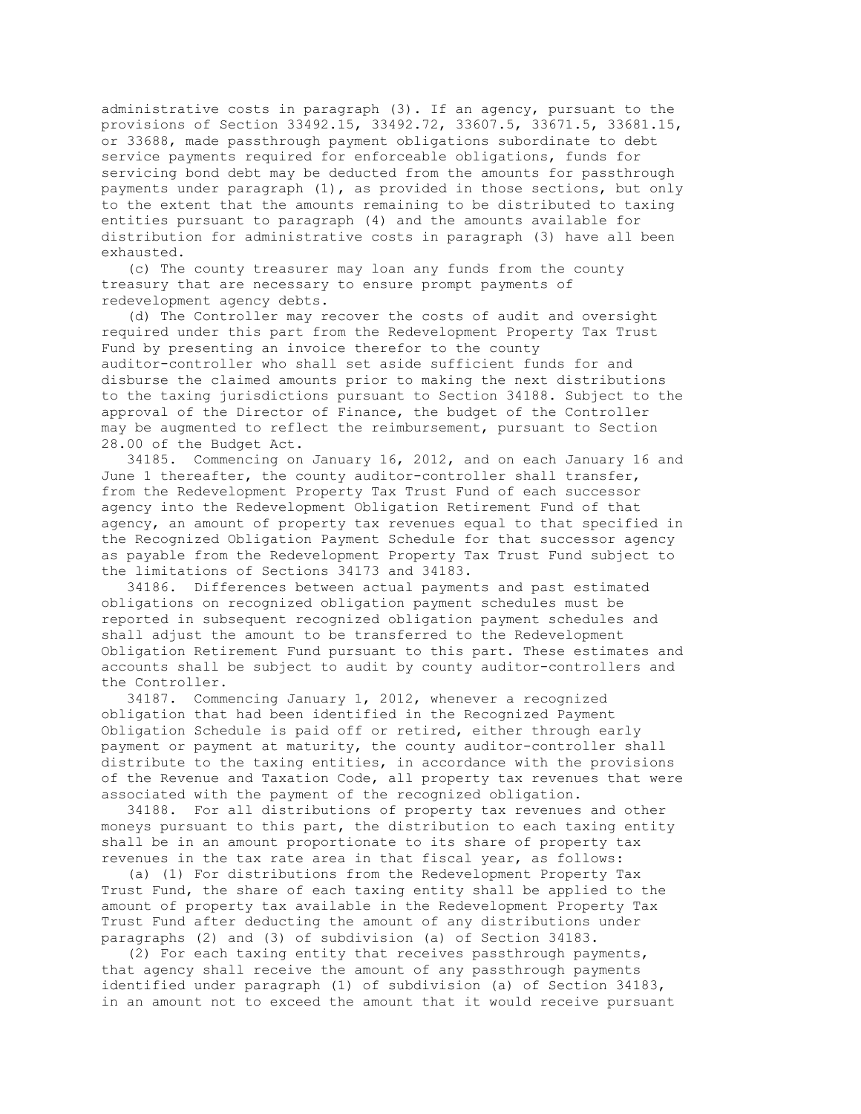administrative costs in paragraph (3). If an agency, pursuant to the provisions of Section 33492.15, 33492.72, 33607.5, 33671.5, 33681.15, or 33688, made passthrough payment obligations subordinate to debt service payments required for enforceable obligations, funds for servicing bond debt may be deducted from the amounts for passthrough payments under paragraph (1), as provided in those sections, but only to the extent that the amounts remaining to be distributed to taxing entities pursuant to paragraph (4) and the amounts available for distribution for administrative costs in paragraph (3) have all been exhausted.

 (c) The county treasurer may loan any funds from the county treasury that are necessary to ensure prompt payments of redevelopment agency debts.

 (d) The Controller may recover the costs of audit and oversight required under this part from the Redevelopment Property Tax Trust Fund by presenting an invoice therefor to the county auditor-controller who shall set aside sufficient funds for and disburse the claimed amounts prior to making the next distributions to the taxing jurisdictions pursuant to Section 34188. Subject to the approval of the Director of Finance, the budget of the Controller may be augmented to reflect the reimbursement, pursuant to Section 28.00 of the Budget Act.

 34185. Commencing on January 16, 2012, and on each January 16 and June 1 thereafter, the county auditor-controller shall transfer, from the Redevelopment Property Tax Trust Fund of each successor agency into the Redevelopment Obligation Retirement Fund of that agency, an amount of property tax revenues equal to that specified in the Recognized Obligation Payment Schedule for that successor agency as payable from the Redevelopment Property Tax Trust Fund subject to the limitations of Sections 34173 and 34183.

 34186. Differences between actual payments and past estimated obligations on recognized obligation payment schedules must be reported in subsequent recognized obligation payment schedules and shall adjust the amount to be transferred to the Redevelopment Obligation Retirement Fund pursuant to this part. These estimates and accounts shall be subject to audit by county auditor-controllers and the Controller.

 34187. Commencing January 1, 2012, whenever a recognized obligation that had been identified in the Recognized Payment Obligation Schedule is paid off or retired, either through early payment or payment at maturity, the county auditor-controller shall distribute to the taxing entities, in accordance with the provisions of the Revenue and Taxation Code, all property tax revenues that were associated with the payment of the recognized obligation.

 34188. For all distributions of property tax revenues and other moneys pursuant to this part, the distribution to each taxing entity shall be in an amount proportionate to its share of property tax revenues in the tax rate area in that fiscal year, as follows:

 (a) (1) For distributions from the Redevelopment Property Tax Trust Fund, the share of each taxing entity shall be applied to the amount of property tax available in the Redevelopment Property Tax Trust Fund after deducting the amount of any distributions under paragraphs (2) and (3) of subdivision (a) of Section 34183.

 (2) For each taxing entity that receives passthrough payments, that agency shall receive the amount of any passthrough payments identified under paragraph (1) of subdivision (a) of Section 34183, in an amount not to exceed the amount that it would receive pursuant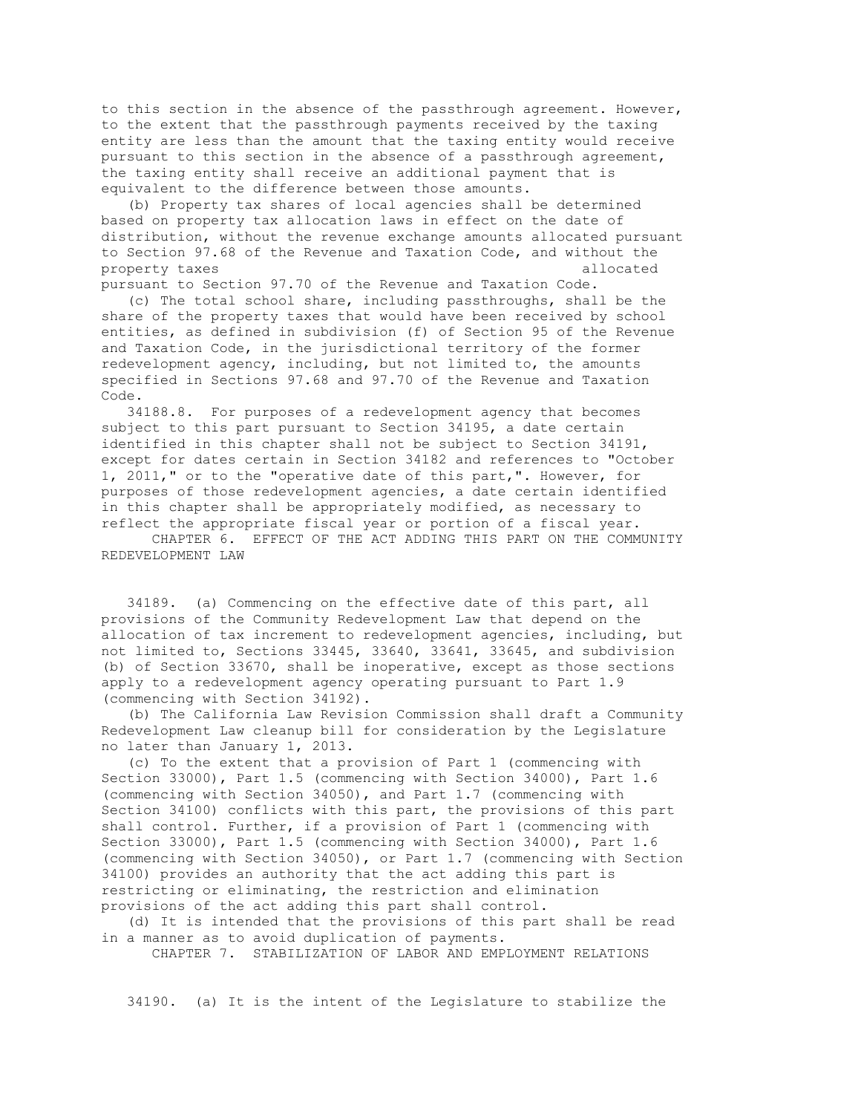to this section in the absence of the passthrough agreement. However, to the extent that the passthrough payments received by the taxing entity are less than the amount that the taxing entity would receive pursuant to this section in the absence of a passthrough agreement, the taxing entity shall receive an additional payment that is equivalent to the difference between those amounts.

 (b) Property tax shares of local agencies shall be determined based on property tax allocation laws in effect on the date of distribution, without the revenue exchange amounts allocated pursuant to Section 97.68 of the Revenue and Taxation Code, and without the property taxes allocated a set of the set of the set of the set of the set of the set of the set of the set of the set of the set of the set of the set of the set of the set of the set of the set of the set of the set of t pursuant to Section 97.70 of the Revenue and Taxation Code.

 (c) The total school share, including passthroughs, shall be the share of the property taxes that would have been received by school entities, as defined in subdivision (f) of Section 95 of the Revenue and Taxation Code, in the jurisdictional territory of the former redevelopment agency, including, but not limited to, the amounts specified in Sections 97.68 and 97.70 of the Revenue and Taxation Code.

 34188.8. For purposes of a redevelopment agency that becomes subject to this part pursuant to Section 34195, a date certain identified in this chapter shall not be subject to Section 34191, except for dates certain in Section 34182 and references to "October 1, 2011," or to the "operative date of this part,". However, for purposes of those redevelopment agencies, a date certain identified in this chapter shall be appropriately modified, as necessary to reflect the appropriate fiscal year or portion of a fiscal year.

 CHAPTER 6. EFFECT OF THE ACT ADDING THIS PART ON THE COMMUNITY REDEVELOPMENT LAW

 34189. (a) Commencing on the effective date of this part, all provisions of the Community Redevelopment Law that depend on the allocation of tax increment to redevelopment agencies, including, but not limited to, Sections 33445, 33640, 33641, 33645, and subdivision (b) of Section 33670, shall be inoperative, except as those sections apply to a redevelopment agency operating pursuant to Part 1.9 (commencing with Section 34192).

 (b) The California Law Revision Commission shall draft a Community Redevelopment Law cleanup bill for consideration by the Legislature no later than January 1, 2013.

 (c) To the extent that a provision of Part 1 (commencing with Section 33000), Part 1.5 (commencing with Section 34000), Part 1.6 (commencing with Section 34050), and Part 1.7 (commencing with Section 34100) conflicts with this part, the provisions of this part shall control. Further, if a provision of Part 1 (commencing with Section 33000), Part 1.5 (commencing with Section 34000), Part 1.6 (commencing with Section 34050), or Part 1.7 (commencing with Section 34100) provides an authority that the act adding this part is restricting or eliminating, the restriction and elimination provisions of the act adding this part shall control.

 (d) It is intended that the provisions of this part shall be read in a manner as to avoid duplication of payments.

CHAPTER 7. STABILIZATION OF LABOR AND EMPLOYMENT RELATIONS

34190. (a) It is the intent of the Legislature to stabilize the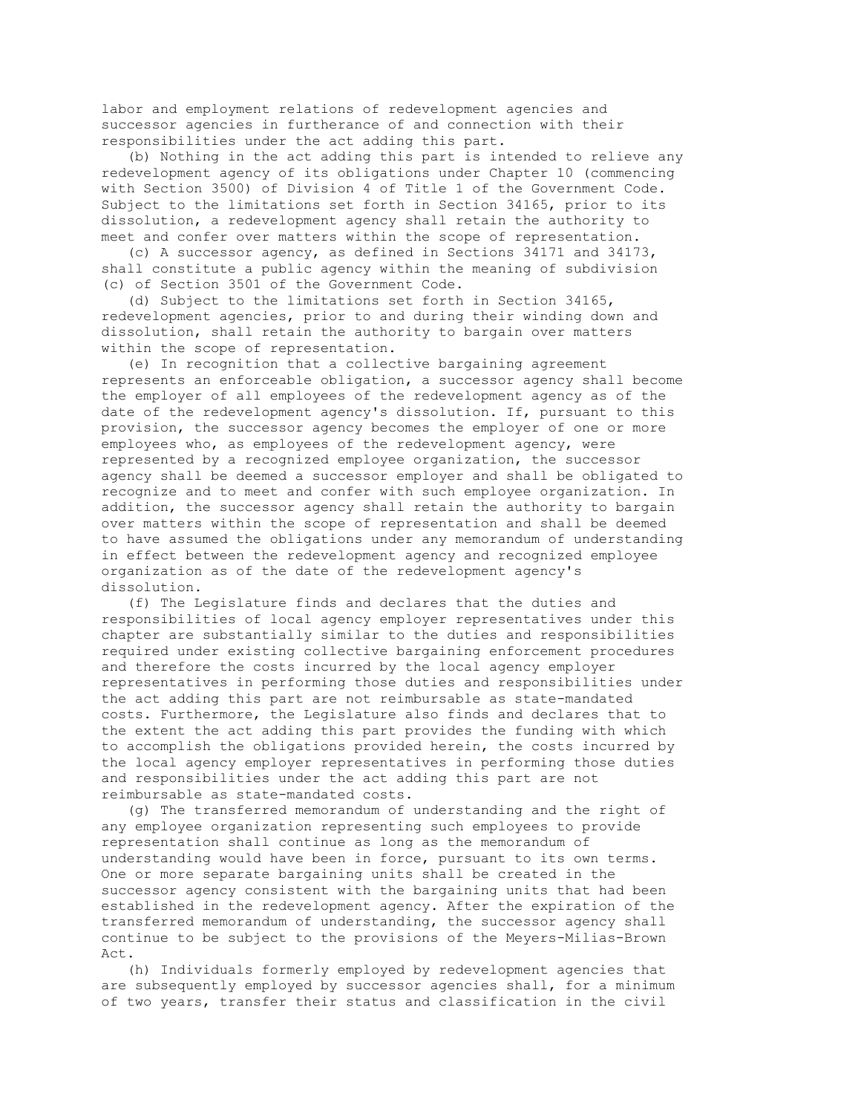labor and employment relations of redevelopment agencies and successor agencies in furtherance of and connection with their responsibilities under the act adding this part.

 (b) Nothing in the act adding this part is intended to relieve any redevelopment agency of its obligations under Chapter 10 (commencing with Section 3500) of Division 4 of Title 1 of the Government Code. Subject to the limitations set forth in Section 34165, prior to its dissolution, a redevelopment agency shall retain the authority to meet and confer over matters within the scope of representation.

 (c) A successor agency, as defined in Sections 34171 and 34173, shall constitute a public agency within the meaning of subdivision (c) of Section 3501 of the Government Code.

 (d) Subject to the limitations set forth in Section 34165, redevelopment agencies, prior to and during their winding down and dissolution, shall retain the authority to bargain over matters within the scope of representation.

 (e) In recognition that a collective bargaining agreement represents an enforceable obligation, a successor agency shall become the employer of all employees of the redevelopment agency as of the date of the redevelopment agency's dissolution. If, pursuant to this provision, the successor agency becomes the employer of one or more employees who, as employees of the redevelopment agency, were represented by a recognized employee organization, the successor agency shall be deemed a successor employer and shall be obligated to recognize and to meet and confer with such employee organization. In addition, the successor agency shall retain the authority to bargain over matters within the scope of representation and shall be deemed to have assumed the obligations under any memorandum of understanding in effect between the redevelopment agency and recognized employee organization as of the date of the redevelopment agency's dissolution.

 (f) The Legislature finds and declares that the duties and responsibilities of local agency employer representatives under this chapter are substantially similar to the duties and responsibilities required under existing collective bargaining enforcement procedures and therefore the costs incurred by the local agency employer representatives in performing those duties and responsibilities under the act adding this part are not reimbursable as state-mandated costs. Furthermore, the Legislature also finds and declares that to the extent the act adding this part provides the funding with which to accomplish the obligations provided herein, the costs incurred by the local agency employer representatives in performing those duties and responsibilities under the act adding this part are not reimbursable as state-mandated costs.

 (g) The transferred memorandum of understanding and the right of any employee organization representing such employees to provide representation shall continue as long as the memorandum of understanding would have been in force, pursuant to its own terms. One or more separate bargaining units shall be created in the successor agency consistent with the bargaining units that had been established in the redevelopment agency. After the expiration of the transferred memorandum of understanding, the successor agency shall continue to be subject to the provisions of the Meyers-Milias-Brown Act.

 (h) Individuals formerly employed by redevelopment agencies that are subsequently employed by successor agencies shall, for a minimum of two years, transfer their status and classification in the civil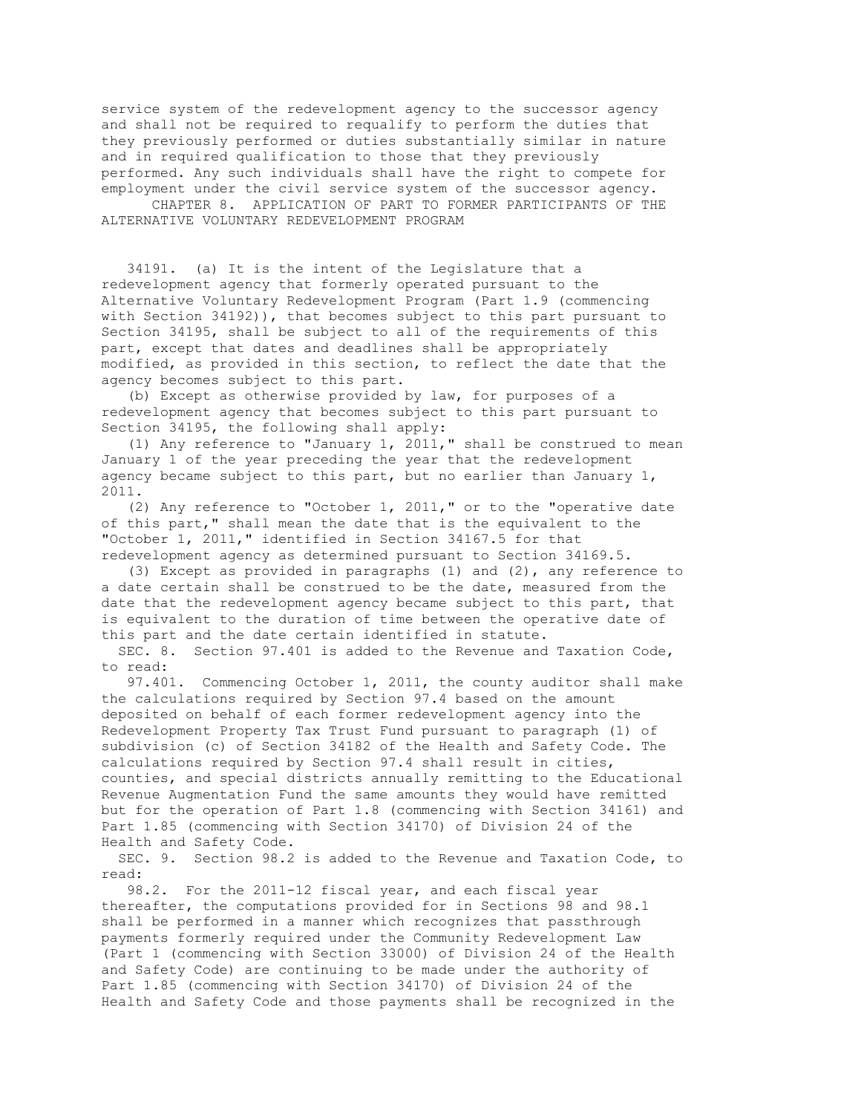service system of the redevelopment agency to the successor agency and shall not be required to requalify to perform the duties that they previously performed or duties substantially similar in nature and in required qualification to those that they previously performed. Any such individuals shall have the right to compete for employment under the civil service system of the successor agency.

 CHAPTER 8. APPLICATION OF PART TO FORMER PARTICIPANTS OF THE ALTERNATIVE VOLUNTARY REDEVELOPMENT PROGRAM

 34191. (a) It is the intent of the Legislature that a redevelopment agency that formerly operated pursuant to the Alternative Voluntary Redevelopment Program (Part 1.9 (commencing with Section 34192)), that becomes subject to this part pursuant to Section 34195, shall be subject to all of the requirements of this part, except that dates and deadlines shall be appropriately modified, as provided in this section, to reflect the date that the agency becomes subject to this part.

 (b) Except as otherwise provided by law, for purposes of a redevelopment agency that becomes subject to this part pursuant to Section 34195, the following shall apply:

 (1) Any reference to "January 1, 2011," shall be construed to mean January 1 of the year preceding the year that the redevelopment agency became subject to this part, but no earlier than January 1, 2011.

 (2) Any reference to "October 1, 2011," or to the "operative date of this part," shall mean the date that is the equivalent to the "October 1, 2011," identified in Section 34167.5 for that redevelopment agency as determined pursuant to Section 34169.5.

 (3) Except as provided in paragraphs (1) and (2), any reference to a date certain shall be construed to be the date, measured from the date that the redevelopment agency became subject to this part, that is equivalent to the duration of time between the operative date of this part and the date certain identified in statute.

 SEC. 8. Section 97.401 is added to the Revenue and Taxation Code, to read:

 97.401. Commencing October 1, 2011, the county auditor shall make the calculations required by Section 97.4 based on the amount deposited on behalf of each former redevelopment agency into the Redevelopment Property Tax Trust Fund pursuant to paragraph (1) of subdivision (c) of Section 34182 of the Health and Safety Code. The calculations required by Section 97.4 shall result in cities, counties, and special districts annually remitting to the Educational Revenue Augmentation Fund the same amounts they would have remitted but for the operation of Part 1.8 (commencing with Section 34161) and Part 1.85 (commencing with Section 34170) of Division 24 of the Health and Safety Code.

 SEC. 9. Section 98.2 is added to the Revenue and Taxation Code, to read:

 98.2. For the 2011-12 fiscal year, and each fiscal year thereafter, the computations provided for in Sections 98 and 98.1 shall be performed in a manner which recognizes that passthrough payments formerly required under the Community Redevelopment Law (Part 1 (commencing with Section 33000) of Division 24 of the Health and Safety Code) are continuing to be made under the authority of Part 1.85 (commencing with Section 34170) of Division 24 of the Health and Safety Code and those payments shall be recognized in the